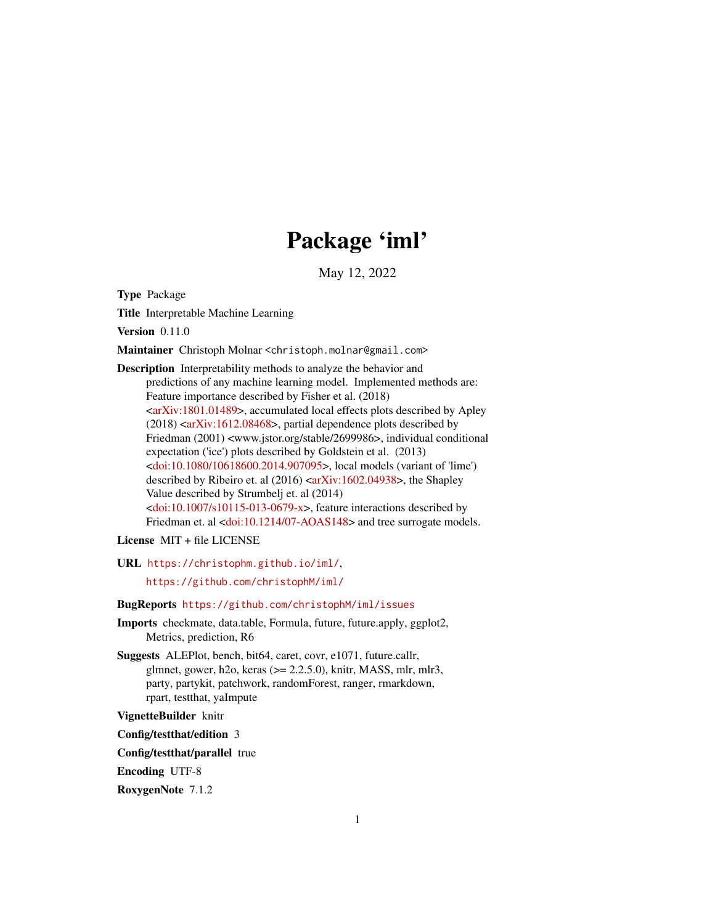# Package 'iml'

May 12, 2022

<span id="page-0-0"></span>Type Package

Title Interpretable Machine Learning

Version 0.11.0

Maintainer Christoph Molnar <christoph.molnar@gmail.com>

Description Interpretability methods to analyze the behavior and predictions of any machine learning model. Implemented methods are: Feature importance described by Fisher et al. (2018) [<arXiv:1801.01489>](https://arxiv.org/abs/1801.01489), accumulated local effects plots described by Apley  $(2018)$  [<arXiv:1612.08468>](https://arxiv.org/abs/1612.08468), partial dependence plots described by Friedman (2001) <www.jstor.org/stable/2699986>, individual conditional expectation ('ice') plots described by Goldstein et al. (2013) [<doi:10.1080/10618600.2014.907095>](https://doi.org/10.1080/10618600.2014.907095), local models (variant of 'lime') described by Ribeiro et. al (2016) [<arXiv:1602.04938>](https://arxiv.org/abs/1602.04938), the Shapley Value described by Strumbelj et. al (2014)  $\langle \text{doi:10.1007/s10115-013-0679-x}\rangle$ , feature interactions described by Friedman et. al [<doi:10.1214/07-AOAS148>](https://doi.org/10.1214/07-AOAS148) and tree surrogate models.

License MIT + file LICENSE

URL <https://christophm.github.io/iml/>,

<https://github.com/christophM/iml/>

# BugReports <https://github.com/christophM/iml/issues>

Imports checkmate, data.table, Formula, future, future.apply, ggplot2, Metrics, prediction, R6

Suggests ALEPlot, bench, bit64, caret, covr, e1071, future.callr, glmnet, gower, h2o, keras (>= 2.2.5.0), knitr, MASS, mlr, mlr3, party, partykit, patchwork, randomForest, ranger, rmarkdown, rpart, testthat, yaImpute

VignetteBuilder knitr

Config/testthat/edition 3

Config/testthat/parallel true

Encoding UTF-8

RoxygenNote 7.1.2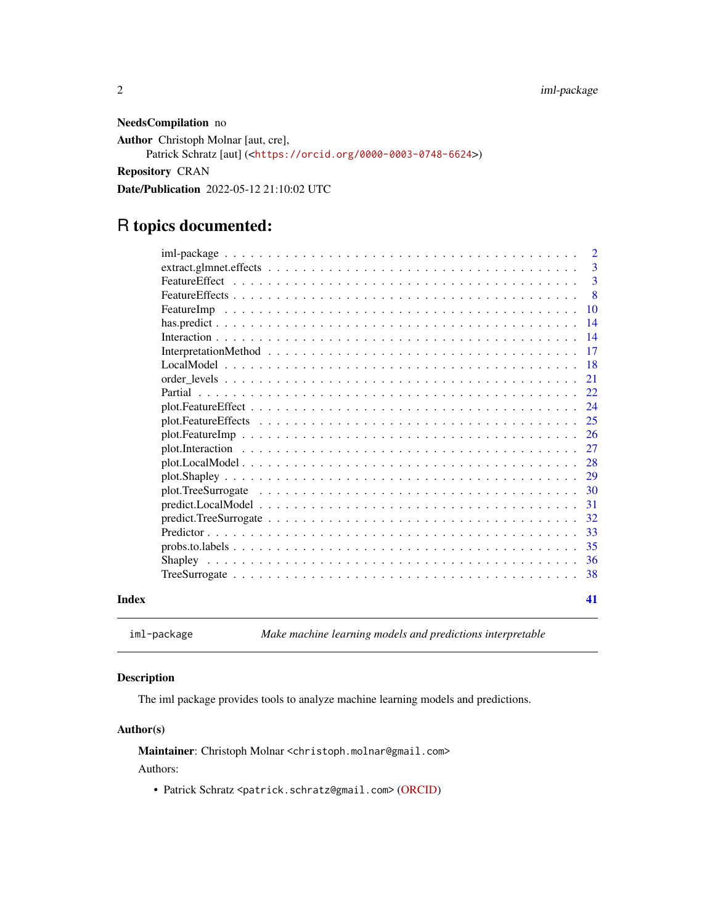<span id="page-1-0"></span>NeedsCompilation no

Author Christoph Molnar [aut, cre],

```
Patrick Schratz [aut] (<https://orcid.org/0000-0003-0748-6624>)
```
Repository CRAN

Date/Publication 2022-05-12 21:10:02 UTC

# R topics documented:

|       |                   | <sup>2</sup> |
|-------|-------------------|--------------|
|       |                   | 3            |
|       |                   | 3            |
|       |                   | 8            |
|       |                   |              |
|       |                   | 14           |
|       |                   | 14           |
|       |                   | -17          |
|       |                   | -18          |
|       |                   | 21           |
|       |                   | 22           |
|       |                   | 24           |
|       |                   |              |
|       |                   |              |
|       |                   | 27           |
|       | plot. Local Model | 28           |
|       |                   | 29           |
|       |                   | 30           |
|       |                   | 31           |
|       |                   | 32           |
|       |                   | 33           |
|       |                   | 35           |
|       |                   | 36           |
|       |                   | -38          |
| Index |                   | 41           |

iml-package *Make machine learning models and predictions interpretable*

# Description

The iml package provides tools to analyze machine learning models and predictions.

#### Author(s)

Maintainer: Christoph Molnar <christoph.molnar@gmail.com> Authors:

• Patrick Schratz <patrick.schratz@gmail.com> [\(ORCID\)](https://orcid.org/0000-0003-0748-6624)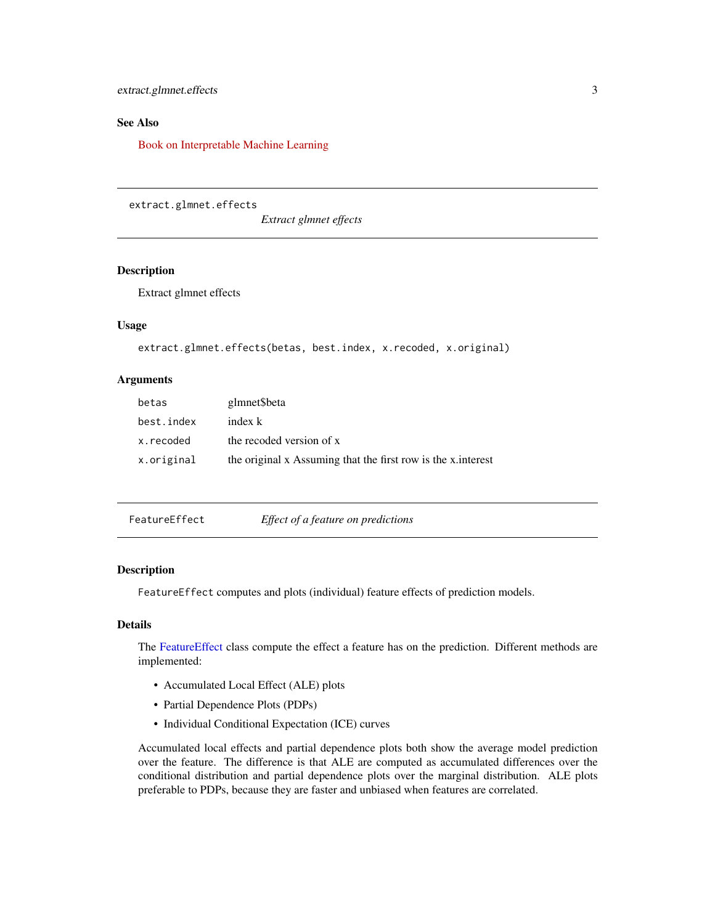<span id="page-2-0"></span>extract.glmnet.effects 3

# See Also

[Book on Interpretable Machine Learning](https://christophm.github.io/interpretable-ml-book/agnostic)

extract.glmnet.effects

*Extract glmnet effects*

# Description

Extract glmnet effects

# Usage

```
extract.glmnet.effects(betas, best.index, x.recoded, x.original)
```
#### Arguments

| betas      | glmnet\$beta                                                 |
|------------|--------------------------------------------------------------|
| best.index | index k                                                      |
| x.recoded  | the recoded version of x                                     |
| x.original | the original x Assuming that the first row is the x interest |

<span id="page-2-1"></span>

| FeatureEffect | Effect of a feature on predictions |  |
|---------------|------------------------------------|--|
|               |                                    |  |

# Description

FeatureEffect computes and plots (individual) feature effects of prediction models.

# Details

The [FeatureEffect](#page-2-1) class compute the effect a feature has on the prediction. Different methods are implemented:

- Accumulated Local Effect (ALE) plots
- Partial Dependence Plots (PDPs)
- Individual Conditional Expectation (ICE) curves

Accumulated local effects and partial dependence plots both show the average model prediction over the feature. The difference is that ALE are computed as accumulated differences over the conditional distribution and partial dependence plots over the marginal distribution. ALE plots preferable to PDPs, because they are faster and unbiased when features are correlated.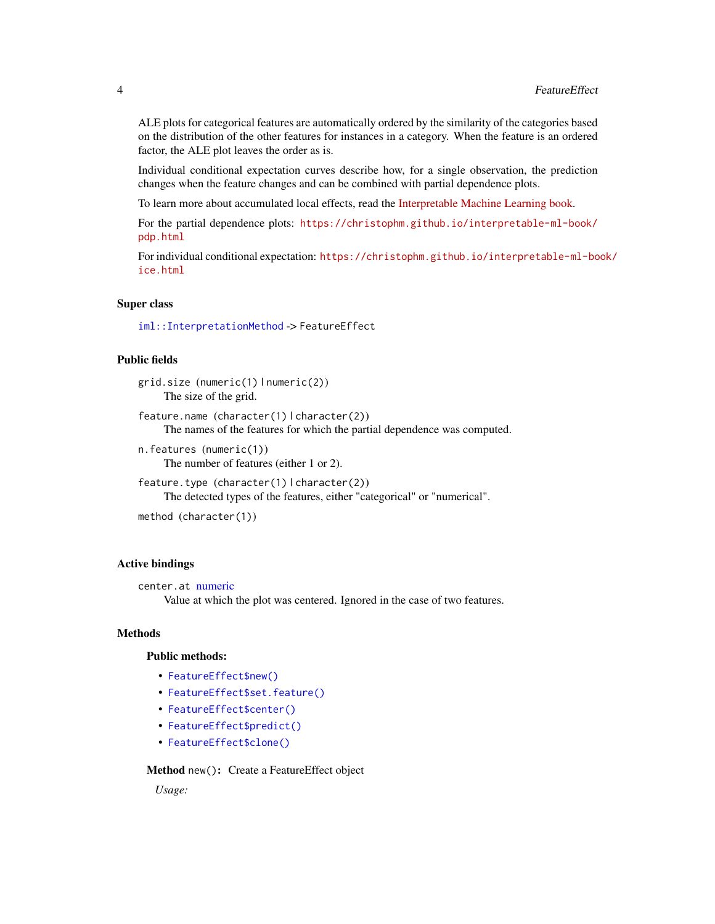<span id="page-3-1"></span>ALE plots for categorical features are automatically ordered by the similarity of the categories based on the distribution of the other features for instances in a category. When the feature is an ordered factor, the ALE plot leaves the order as is.

Individual conditional expectation curves describe how, for a single observation, the prediction changes when the feature changes and can be combined with partial dependence plots.

To learn more about accumulated local effects, read the [Interpretable Machine Learning book.](https://christophm.github.io/interpretable-ml-book/ale.html)

For the partial dependence plots: [https://christophm.github.io/interpretable-ml-book/](https://christophm.github.io/interpretable-ml-book/pdp.html) [pdp.html](https://christophm.github.io/interpretable-ml-book/pdp.html)

For individual conditional expectation: [https://christophm.github.io/interpretable-ml-bo](https://christophm.github.io/interpretable-ml-book/ice.html)ok/ [ice.html](https://christophm.github.io/interpretable-ml-book/ice.html)

#### Super class

[iml::InterpretationMethod](#page-0-0) -> FeatureEffect

# Public fields

grid.size (numeric(1) | numeric(2)) The size of the grid.

feature.name (character(1) | character(2)) The names of the features for which the partial dependence was computed.

n.features (numeric(1)) The number of features (either 1 or 2).

feature.type (character(1) | character(2)) The detected types of the features, either "categorical" or "numerical".

```
method (character(1))
```
#### Active bindings

```
center.at numeric
```
Value at which the plot was centered. Ignored in the case of two features.

#### **Methods**

#### Public methods:

- [FeatureEffect\\$new\(\)](#page-3-0)
- [FeatureEffect\\$set.feature\(\)](#page-4-0)
- [FeatureEffect\\$center\(\)](#page-4-1)
- [FeatureEffect\\$predict\(\)](#page-4-2)
- [FeatureEffect\\$clone\(\)](#page-5-0)

# <span id="page-3-0"></span>Method new(): Create a FeatureEffect object

*Usage:*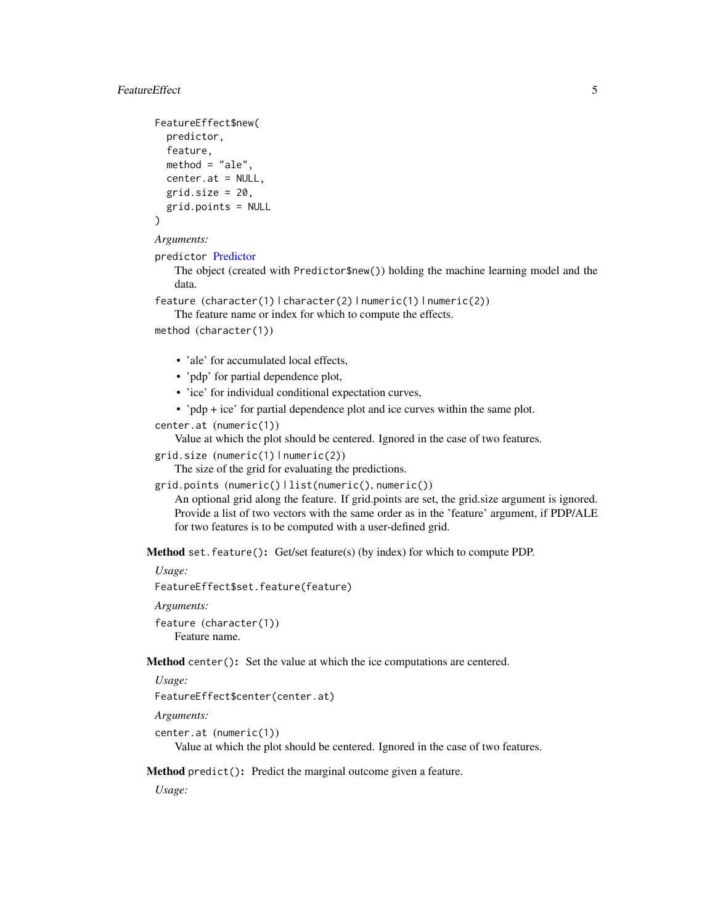# <span id="page-4-3"></span>FeatureEffect 5 5

```
FeatureEffect$new(
 predictor,
  feature,
 method = "ale".center.at = NULL,
  grid.size = 20,
  grid.points = NULL
\lambda
```

```
Arguments:
```
predictor [Predictor](#page-32-1)

The object (created with Predictor\$new()) holding the machine learning model and the data.

feature (character(1) | character(2) | numeric(1) | numeric(2))

The feature name or index for which to compute the effects.

```
method (character(1))
```
- 'ale' for accumulated local effects,
- 'pdp' for partial dependence plot,
- 'ice' for individual conditional expectation curves,
- 'pdp + ice' for partial dependence plot and ice curves within the same plot.

```
center.at (numeric(1))
```
Value at which the plot should be centered. Ignored in the case of two features.

```
grid.size (numeric(1) | numeric(2))
```
The size of the grid for evaluating the predictions.

```
grid.points (numeric() | list(numeric(), numeric())
```
An optional grid along the feature. If grid.points are set, the grid.size argument is ignored. Provide a list of two vectors with the same order as in the 'feature' argument, if PDP/ALE for two features is to be computed with a user-defined grid.

<span id="page-4-0"></span>Method set. feature(): Get/set feature(s) (by index) for which to compute PDP.

*Usage:*

FeatureEffect\$set.feature(feature)

*Arguments:*

feature (character(1)) Feature name.

<span id="page-4-1"></span>Method center(): Set the value at which the ice computations are centered.

*Usage:*

```
FeatureEffect$center(center.at)
```
*Arguments:*

```
center.at (numeric(1))
```
Value at which the plot should be centered. Ignored in the case of two features.

<span id="page-4-2"></span>Method predict(): Predict the marginal outcome given a feature.

*Usage:*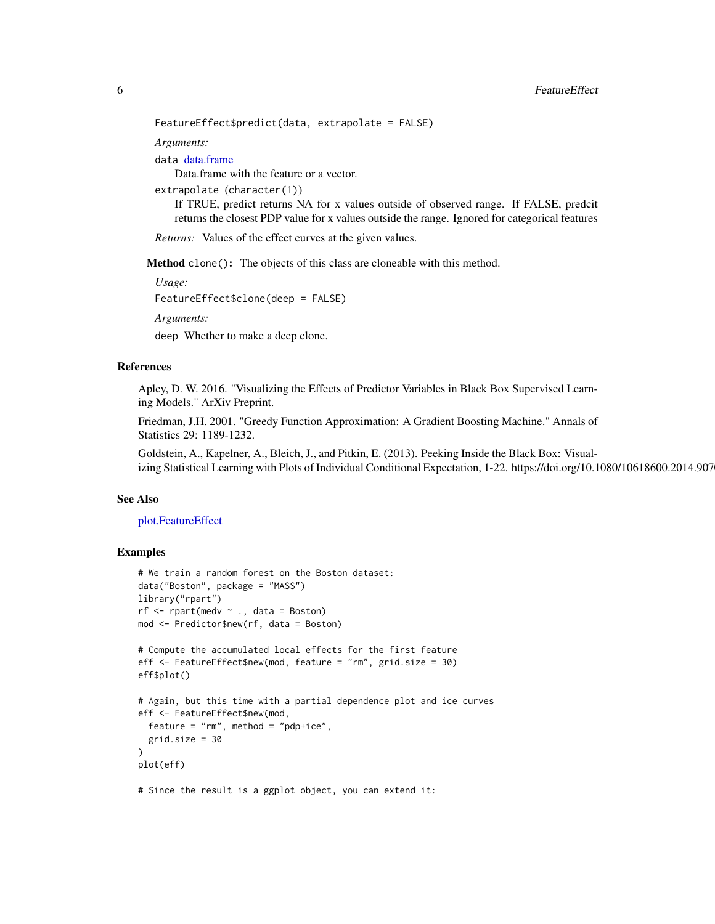<span id="page-5-1"></span>FeatureEffect\$predict(data, extrapolate = FALSE)

*Arguments:*

data [data.frame](#page-0-0)

Data.frame with the feature or a vector.

extrapolate (character(1))

If TRUE, predict returns NA for x values outside of observed range. If FALSE, predcit returns the closest PDP value for x values outside the range. Ignored for categorical features

*Returns:* Values of the effect curves at the given values.

<span id="page-5-0"></span>Method clone(): The objects of this class are cloneable with this method.

*Usage:*

FeatureEffect\$clone(deep = FALSE)

*Arguments:*

deep Whether to make a deep clone.

#### References

Apley, D. W. 2016. "Visualizing the Effects of Predictor Variables in Black Box Supervised Learning Models." ArXiv Preprint.

Friedman, J.H. 2001. "Greedy Function Approximation: A Gradient Boosting Machine." Annals of Statistics 29: 1189-1232.

Goldstein, A., Kapelner, A., Bleich, J., and Pitkin, E. (2013). Peeking Inside the Black Box: Visualizing Statistical Learning with Plots of Individual Conditional Expectation, 1-22. https://doi.org/10.1080/10618600.2014.907

# See Also

[plot.FeatureEffect](#page-23-1)

```
# We train a random forest on the Boston dataset:
data("Boston", package = "MASS")
library("rpart")
rf \leftarrow \text{rpart}(\text{medv } \sim ., \text{ data = Boston})mod <- Predictor$new(rf, data = Boston)
# Compute the accumulated local effects for the first feature
eff <- FeatureEffect$new(mod, feature = "rm", grid.size = 30)
eff$plot()
# Again, but this time with a partial dependence plot and ice curves
eff <- FeatureEffect$new(mod,
  feature = "rm", method = "pdp+ice",
  grid.size = 30
)
plot(eff)
# Since the result is a ggplot object, you can extend it:
```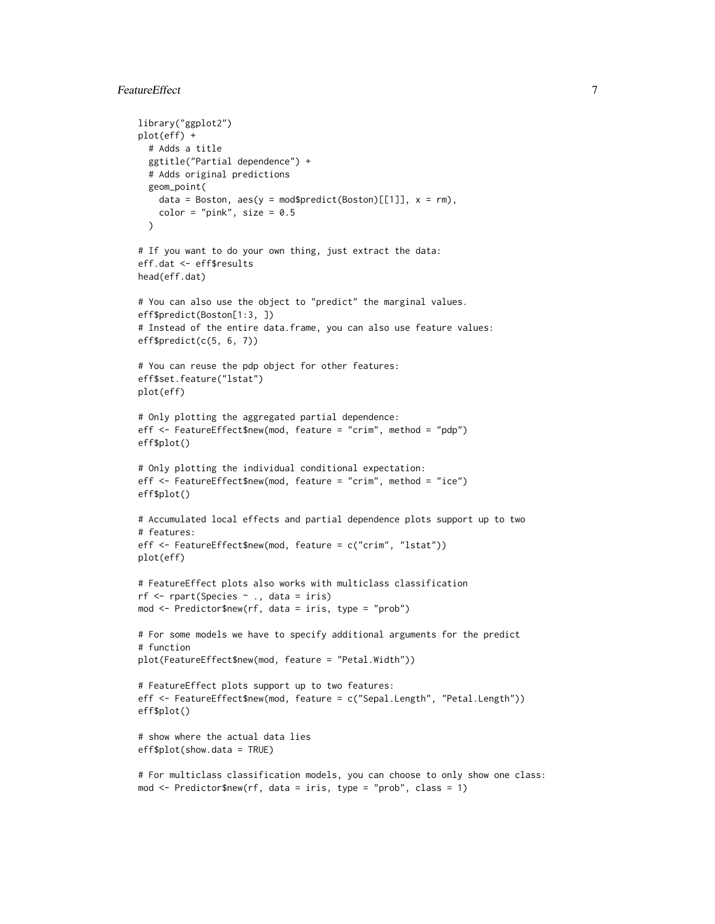# FeatureEffect 7 and 7 and 7 and 7 and 7 and 7 and 7 and 7 and 7 and 7 and 7 and 7 and 7 and 7 and 7 and 7 and 7 and 7 and 7 and 7 and 7 and 7 and 7 and 7 and 7 and 7 and 7 and 7 and 7 and 7 and 7 and 7 and 7 and 7 and 7 an

```
library("ggplot2")
plot(eff) +
  # Adds a title
  ggtitle("Partial dependence") +
  # Adds original predictions
  geom_point(
   data = Boston, \text{aes}(y = \text{mod$predict}(Boston)[[1]], x = rm),color = "pink", size = 0.5\lambda# If you want to do your own thing, just extract the data:
eff.dat <- eff$results
head(eff.dat)
# You can also use the object to "predict" the marginal values.
eff$predict(Boston[1:3, ])
# Instead of the entire data.frame, you can also use feature values:
eff$predict(c(5, 6, 7))
# You can reuse the pdp object for other features:
eff$set.feature("lstat")
plot(eff)
# Only plotting the aggregated partial dependence:
eff <- FeatureEffect$new(mod, feature = "crim", method = "pdp")
eff$plot()
# Only plotting the individual conditional expectation:
eff <- FeatureEffect$new(mod, feature = "crim", method = "ice")
eff$plot()
# Accumulated local effects and partial dependence plots support up to two
# features:
eff <- FeatureEffect$new(mod, feature = c("crim", "lstat"))
plot(eff)
# FeatureEffect plots also works with multiclass classification
rf <- rpart(Species ~ ., data = iris)
mod <- Predictor$new(rf, data = iris, type = "prob")
# For some models we have to specify additional arguments for the predict
# function
plot(FeatureEffect$new(mod, feature = "Petal.Width"))
# FeatureEffect plots support up to two features:
eff <- FeatureEffect$new(mod, feature = c("Sepal.Length", "Petal.Length"))
eff$plot()
# show where the actual data lies
eff$plot(show.data = TRUE)
# For multiclass classification models, you can choose to only show one class:
mod <- Predictor$new(rf, data = iris, type = "prob", class = 1)
```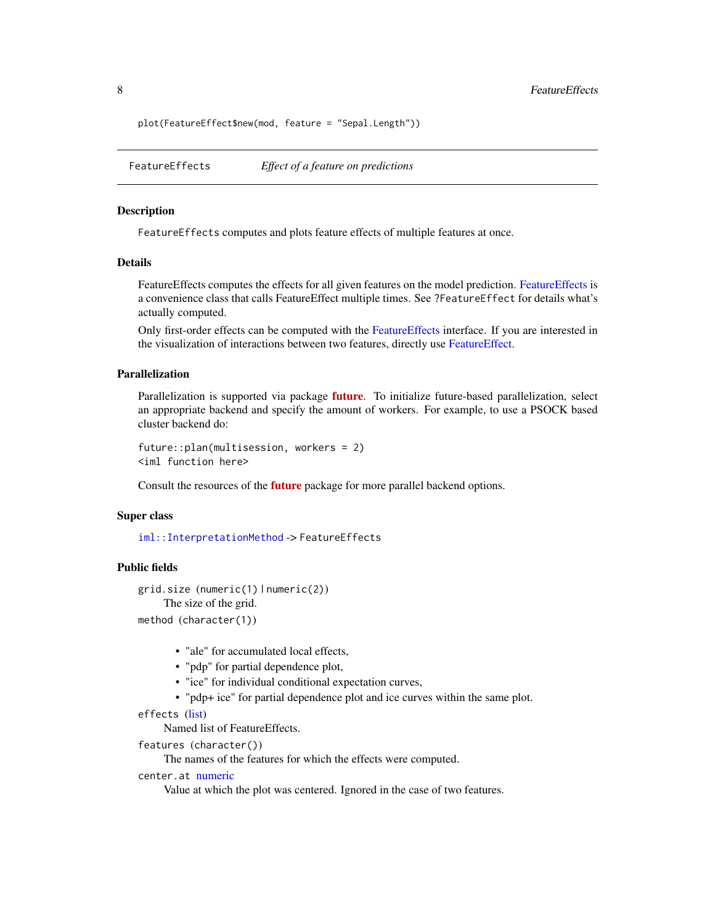<span id="page-7-0"></span>plot(FeatureEffect\$new(mod, feature = "Sepal.Length"))

<span id="page-7-1"></span>FeatureEffects *Effect of a feature on predictions*

# Description

FeatureEffects computes and plots feature effects of multiple features at once.

# Details

FeatureEffects computes the effects for all given features on the model prediction. [FeatureEffects](#page-7-1) is a convenience class that calls FeatureEffect multiple times. See ?FeatureEffect for details what's actually computed.

Only first-order effects can be computed with the [FeatureEffects](#page-7-1) interface. If you are interested in the visualization of interactions between two features, directly use [FeatureEffect.](#page-2-1)

# Parallelization

Parallelization is supported via package **[future](https://CRAN.R-project.org/package=future)**. To initialize future-based parallelization, select an appropriate backend and specify the amount of workers. For example, to use a PSOCK based cluster backend do:

```
future::plan(multisession, workers = 2)
<iml function here>
```
Consult the resources of the **[future](https://CRAN.R-project.org/package=future)** package for more parallel backend options.

#### Super class

[iml::InterpretationMethod](#page-0-0) -> FeatureEffects

# Public fields

```
grid.size (numeric(1) | numeric(2))
    The size of the grid.
method (character(1))
```
- - "ale" for accumulated local effects,
	- "pdp" for partial dependence plot,
	- "ice" for individual conditional expectation curves,
	- "pdp+ ice" for partial dependence plot and ice curves within the same plot.

```
effects (list)
```
Named list of FeatureEffects.

```
features (character())
```
The names of the features for which the effects were computed.

```
center.at numeric
```
Value at which the plot was centered. Ignored in the case of two features.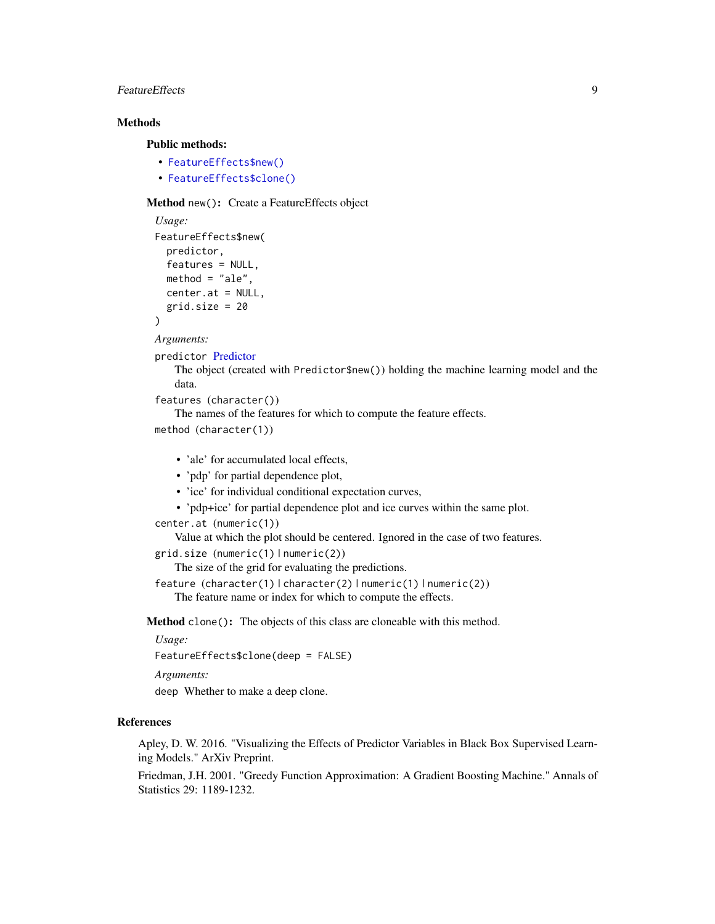# <span id="page-8-0"></span>FeatureEffects 9

# **Methods**

#### Public methods:

- [FeatureEffects\\$new\(\)](#page-3-0)
- [FeatureEffects\\$clone\(\)](#page-5-0)

#### Method new(): Create a FeatureEffects object

```
Usage:
FeatureEffects$new(
 predictor,
  features = NULL,
 method = "ale",
 center.at = NULL,
  grid.size = 20
)
```
*Arguments:*

```
predictor Predictor
```
The object (created with Predictor\$new()) holding the machine learning model and the data.

```
features (character())
```
The names of the features for which to compute the feature effects.

method (character(1))

- 'ale' for accumulated local effects,
- 'pdp' for partial dependence plot,
- 'ice' for individual conditional expectation curves,
- 'pdp+ice' for partial dependence plot and ice curves within the same plot.

```
center.at (numeric(1))
```
Value at which the plot should be centered. Ignored in the case of two features.

grid.size (numeric(1) | numeric(2))

The size of the grid for evaluating the predictions.

```
feature (character(1) | character(2) | numeric(1) | numeric(2))
```
The feature name or index for which to compute the effects.

Method clone(): The objects of this class are cloneable with this method.

*Usage:*

FeatureEffects\$clone(deep = FALSE)

*Arguments:*

deep Whether to make a deep clone.

# References

Apley, D. W. 2016. "Visualizing the Effects of Predictor Variables in Black Box Supervised Learning Models." ArXiv Preprint.

Friedman, J.H. 2001. "Greedy Function Approximation: A Gradient Boosting Machine." Annals of Statistics 29: 1189-1232.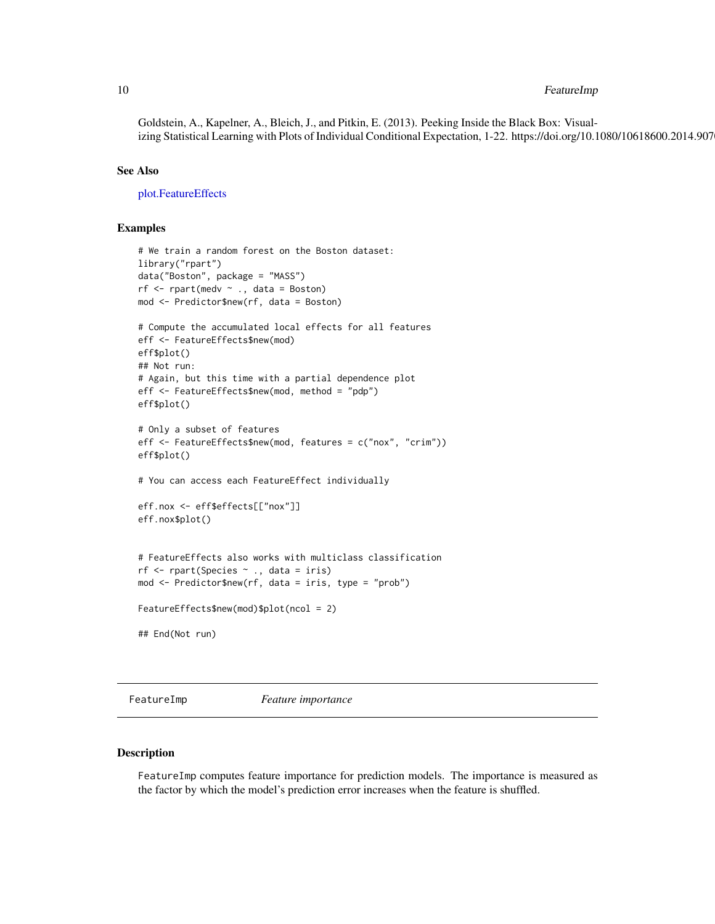# <span id="page-9-0"></span>10 FeatureImp

Goldstein, A., Kapelner, A., Bleich, J., and Pitkin, E. (2013). Peeking Inside the Black Box: Visualizing Statistical Learning with Plots of Individual Conditional Expectation, 1-22. https://doi.org/10.1080/10618600.2014.907

#### See Also

[plot.FeatureEffects](#page-24-1)

# Examples

```
# We train a random forest on the Boston dataset:
library("rpart")
data("Boston", package = "MASS")
rf \leq rpart(medv \sim ., data = Boston)
mod <- Predictor$new(rf, data = Boston)
# Compute the accumulated local effects for all features
eff <- FeatureEffects$new(mod)
eff$plot()
## Not run:
# Again, but this time with a partial dependence plot
eff <- FeatureEffects$new(mod, method = "pdp")
eff$plot()
# Only a subset of features
eff <- FeatureEffects$new(mod, features = c("nox", "crim"))
eff$plot()
# You can access each FeatureEffect individually
eff.nox <- eff$effects[["nox"]]
eff.nox$plot()
# FeatureEffects also works with multiclass classification
rf <- rpart(Species ~ ., data = iris)
mod <- Predictor$new(rf, data = iris, type = "prob")
FeatureEffects$new(mod)$plot(ncol = 2)
## End(Not run)
```
<span id="page-9-1"></span>FeatureImp *Feature importance*

#### Description

FeatureImp computes feature importance for prediction models. The importance is measured as the factor by which the model's prediction error increases when the feature is shuffled.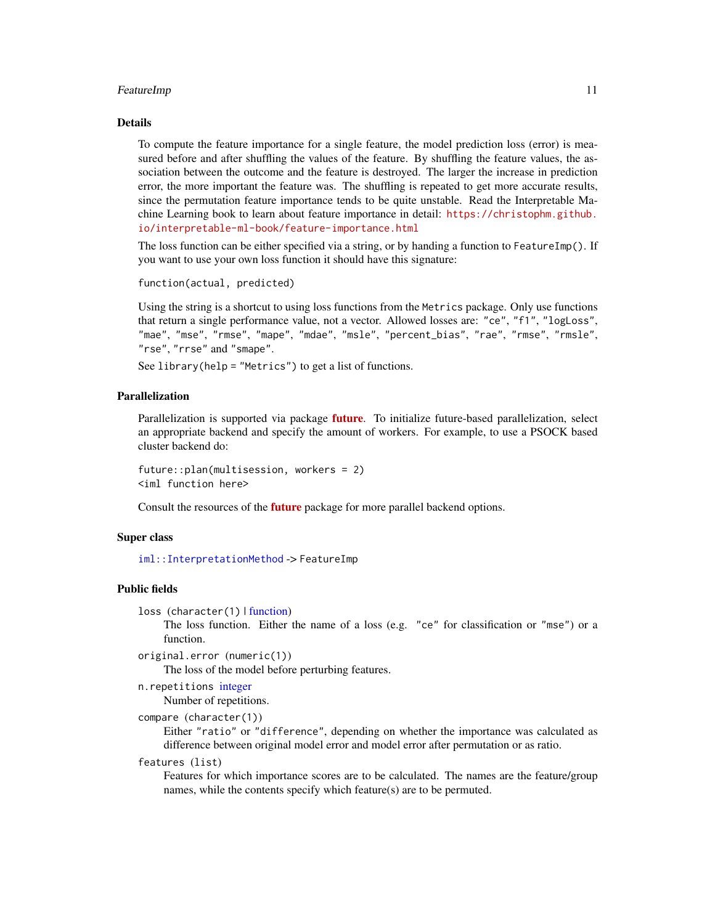#### <span id="page-10-0"></span>FeatureImp 11

#### Details

To compute the feature importance for a single feature, the model prediction loss (error) is measured before and after shuffling the values of the feature. By shuffling the feature values, the association between the outcome and the feature is destroyed. The larger the increase in prediction error, the more important the feature was. The shuffling is repeated to get more accurate results, since the permutation feature importance tends to be quite unstable. Read the Interpretable Machine Learning book to learn about feature importance in detail: [https://christophm.github.](https://christophm.github.io/interpretable-ml-book/feature-importance.html) [io/interpretable-ml-book/feature-importance.html](https://christophm.github.io/interpretable-ml-book/feature-importance.html)

The loss function can be either specified via a string, or by handing a function to FeatureImp(). If you want to use your own loss function it should have this signature:

```
function(actual, predicted)
```
Using the string is a shortcut to using loss functions from the Metrics package. Only use functions that return a single performance value, not a vector. Allowed losses are: "ce", "f1", "logLoss", "mae", "mse", "rmse", "mape", "mdae", "msle", "percent\_bias", "rae", "rmse", "rmsle", "rse", "rrse" and "smape".

See library(help = "Metrics") to get a list of functions.

#### Parallelization

Parallelization is supported via package **[future](https://CRAN.R-project.org/package=future)**. To initialize future-based parallelization, select an appropriate backend and specify the amount of workers. For example, to use a PSOCK based cluster backend do:

future::plan(multisession, workers = 2) <iml function here>

Consult the resources of the [future](https://CRAN.R-project.org/package=future) package for more parallel backend options.

#### Super class

[iml::InterpretationMethod](#page-0-0) -> FeatureImp

# Public fields

loss (character(1) | [function\)](#page-0-0)

The loss function. Either the name of a loss (e.g. "ce" for classification or "mse") or a function.

```
original.error (numeric(1))
```
The loss of the model before perturbing features.

```
n.repetitions integer
```
Number of repetitions.

```
compare (character(1))
```
Either "ratio" or "difference", depending on whether the importance was calculated as difference between original model error and model error after permutation or as ratio.

#### features (list)

Features for which importance scores are to be calculated. The names are the feature/group names, while the contents specify which feature(s) are to be permuted.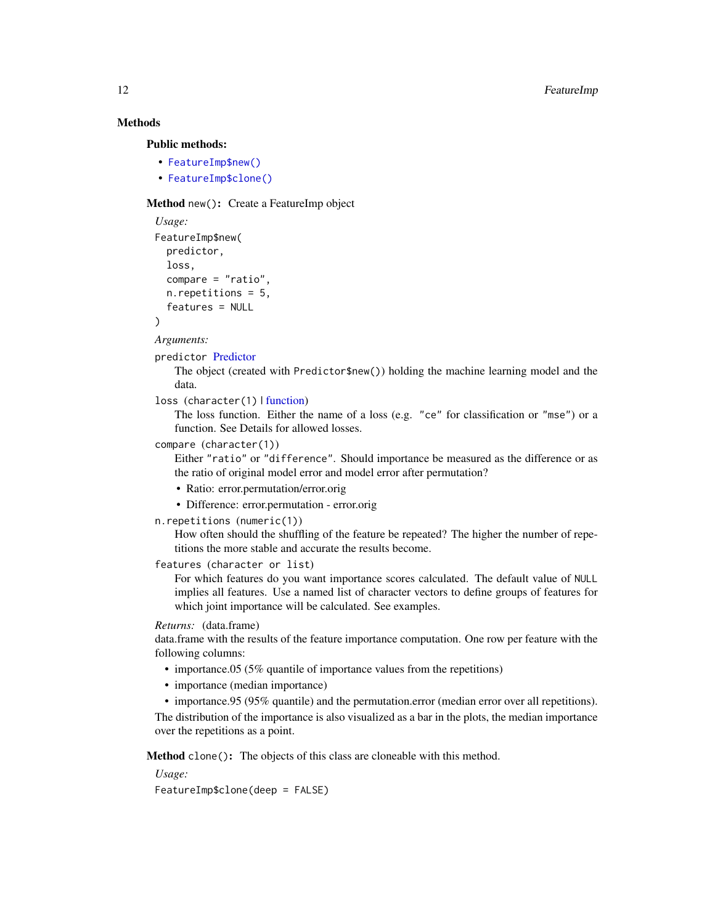# Methods

#### Public methods:

- [FeatureImp\\$new\(\)](#page-3-0)
- [FeatureImp\\$clone\(\)](#page-5-0)

# Method new(): Create a FeatureImp object

```
Usage:
FeatureImp$new(
 predictor,
  loss,
  compare = "ratio",
 n.repetitions = 5,
  features = NULL
)
```
*Arguments:*

#### predictor [Predictor](#page-32-1)

The object (created with Predictor\$new()) holding the machine learning model and the data.

#### loss (character(1) | [function\)](#page-0-0)

The loss function. Either the name of a loss (e.g. "ce" for classification or "mse") or a function. See Details for allowed losses.

#### compare (character(1))

Either "ratio" or "difference". Should importance be measured as the difference or as the ratio of original model error and model error after permutation?

- Ratio: error.permutation/error.orig
- Difference: error.permutation error.orig

# n.repetitions (numeric(1))

How often should the shuffling of the feature be repeated? The higher the number of repetitions the more stable and accurate the results become.

```
features (character or list)
```
For which features do you want importance scores calculated. The default value of NULL implies all features. Use a named list of character vectors to define groups of features for which joint importance will be calculated. See examples.

#### *Returns:* (data.frame)

data.frame with the results of the feature importance computation. One row per feature with the following columns:

- importance.05 (5% quantile of importance values from the repetitions)
- importance (median importance)
- importance.95 (95% quantile) and the permutation.error (median error over all repetitions).

The distribution of the importance is also visualized as a bar in the plots, the median importance over the repetitions as a point.

Method clone(): The objects of this class are cloneable with this method.

#### *Usage:*

FeatureImp\$clone(deep = FALSE)

<span id="page-11-0"></span>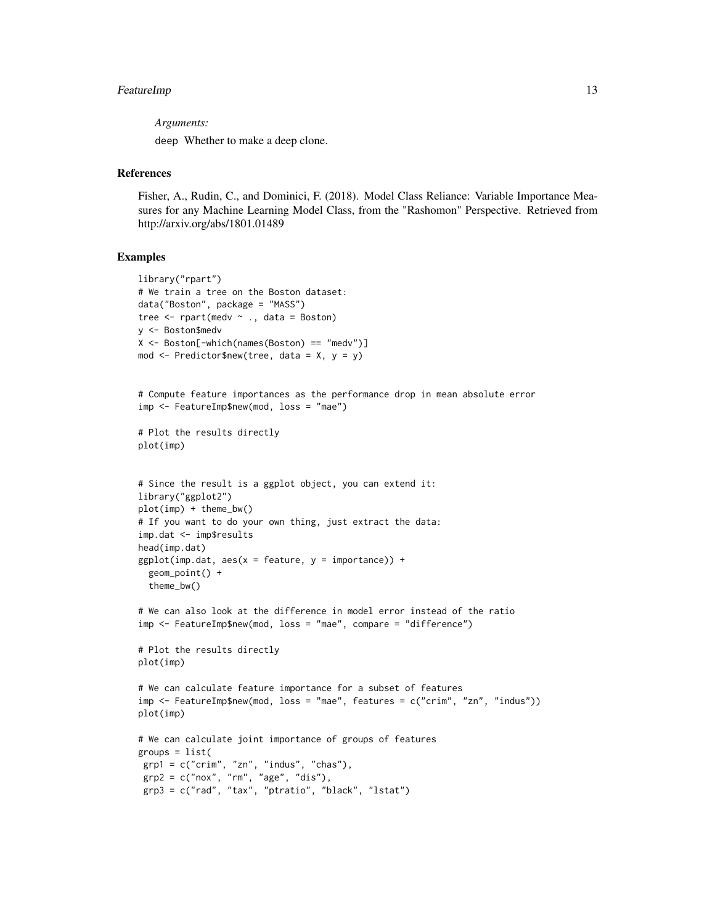# FeatureImp 13

*Arguments:*

deep Whether to make a deep clone.

# References

Fisher, A., Rudin, C., and Dominici, F. (2018). Model Class Reliance: Variable Importance Measures for any Machine Learning Model Class, from the "Rashomon" Perspective. Retrieved from http://arxiv.org/abs/1801.01489

```
library("rpart")
# We train a tree on the Boston dataset:
data("Boston", package = "MASS")
tree \leq rpart(medv \sim ., data = Boston)
y <- Boston$medv
X <- Boston[-which(names(Boston) == "medv")]
mod \leq Predictor$new(tree, data = X, y = y)
# Compute feature importances as the performance drop in mean absolute error
imp <- FeatureImp$new(mod, loss = "mae")
# Plot the results directly
plot(imp)
# Since the result is a ggplot object, you can extend it:
library("ggplot2")
plot(imp) + theme_bw()
# If you want to do your own thing, just extract the data:
imp.dat <- imp$results
head(imp.dat)
ggplot(imp.dat, aes(x = feature, y = importance)) +geom_point() +
  theme_bw()
# We can also look at the difference in model error instead of the ratio
imp <- FeatureImp$new(mod, loss = "mae", compare = "difference")
# Plot the results directly
plot(imp)
# We can calculate feature importance for a subset of features
imp <- FeatureImp$new(mod, loss = "mae", features = c("crim", "zn", "indus"))
plot(imp)
# We can calculate joint importance of groups of features
groups = list(grp1 = c("crim", "zn", "indus", "chas"),
 grp2 = c("nox", "rm", "age", "dis"),
 grp3 = c("rad", "tax", "ptratio", "black", "lstat")
```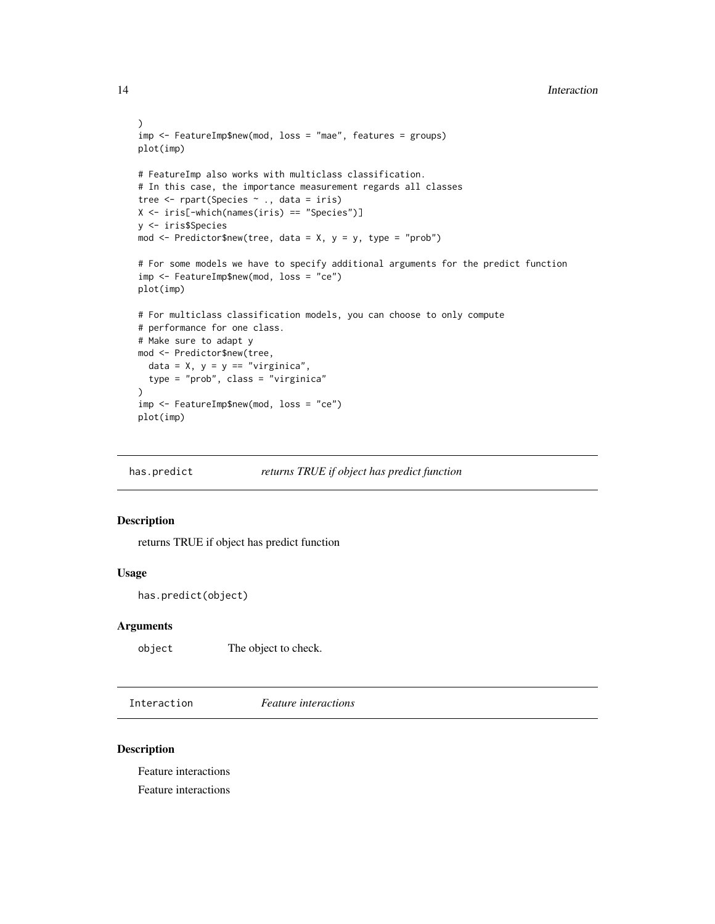```
)
imp <- FeatureImp$new(mod, loss = "mae", features = groups)
plot(imp)
# FeatureImp also works with multiclass classification.
# In this case, the importance measurement regards all classes
tree \leq rpart(Species \sim ., data = iris)
X <- iris[-which(names(iris) == "Species")]
y <- iris$Species
mod \leq Predictor$new(tree, data = X, y = y, type = "prob")
# For some models we have to specify additional arguments for the predict function
imp <- FeatureImp$new(mod, loss = "ce")
plot(imp)
# For multiclass classification models, you can choose to only compute
# performance for one class.
# Make sure to adapt y
mod <- Predictor$new(tree,
  data = X, y = y == "virginica",type = "prob", class = "virginica"
\lambdaimp <- FeatureImp$new(mod, loss = "ce")
plot(imp)
```
has.predict *returns TRUE if object has predict function*

## Description

returns TRUE if object has predict function

# Usage

```
has.predict(object)
```
#### Arguments

object The object to check.

<span id="page-13-1"></span>Interaction *Feature interactions*

#### Description

Feature interactions Feature interactions

<span id="page-13-0"></span>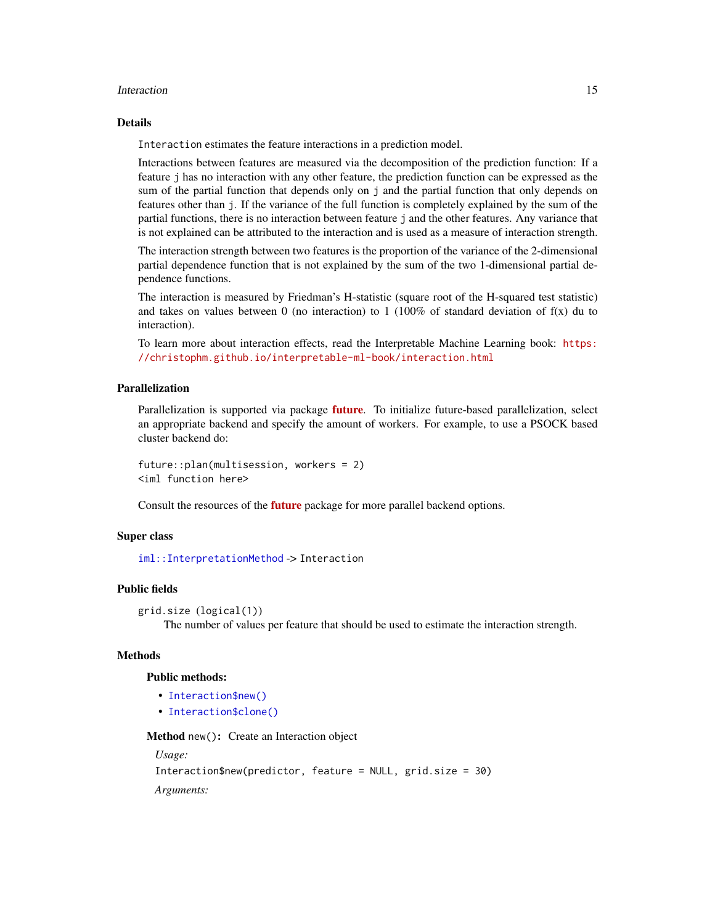#### <span id="page-14-0"></span>Interaction 15

#### Details

Interaction estimates the feature interactions in a prediction model.

Interactions between features are measured via the decomposition of the prediction function: If a feature j has no interaction with any other feature, the prediction function can be expressed as the sum of the partial function that depends only on j and the partial function that only depends on features other than j. If the variance of the full function is completely explained by the sum of the partial functions, there is no interaction between feature j and the other features. Any variance that is not explained can be attributed to the interaction and is used as a measure of interaction strength.

The interaction strength between two features is the proportion of the variance of the 2-dimensional partial dependence function that is not explained by the sum of the two 1-dimensional partial dependence functions.

The interaction is measured by Friedman's H-statistic (square root of the H-squared test statistic) and takes on values between 0 (no interaction) to 1 (100% of standard deviation of  $f(x)$  du to interaction).

To learn more about interaction effects, read the Interpretable Machine Learning book: [https:](https://christophm.github.io/interpretable-ml-book/interaction.html) [//christophm.github.io/interpretable-ml-book/interaction.html](https://christophm.github.io/interpretable-ml-book/interaction.html)

#### Parallelization

Parallelization is supported via package [future](https://CRAN.R-project.org/package=future). To initialize future-based parallelization, select an appropriate backend and specify the amount of workers. For example, to use a PSOCK based cluster backend do:

future::plan(multisession, workers = 2) <iml function here>

Consult the resources of the **[future](https://CRAN.R-project.org/package=future)** package for more parallel backend options.

#### Super class

[iml::InterpretationMethod](#page-0-0) -> Interaction

#### Public fields

```
grid.size (logical(1))
```
The number of values per feature that should be used to estimate the interaction strength.

#### **Methods**

#### Public methods:

- [Interaction\\$new\(\)](#page-3-0)
- [Interaction\\$clone\(\)](#page-5-0)

Method new(): Create an Interaction object

*Usage:*

```
Interaction$new(predictor, feature = NULL, grid.size = 30)
Arguments:
```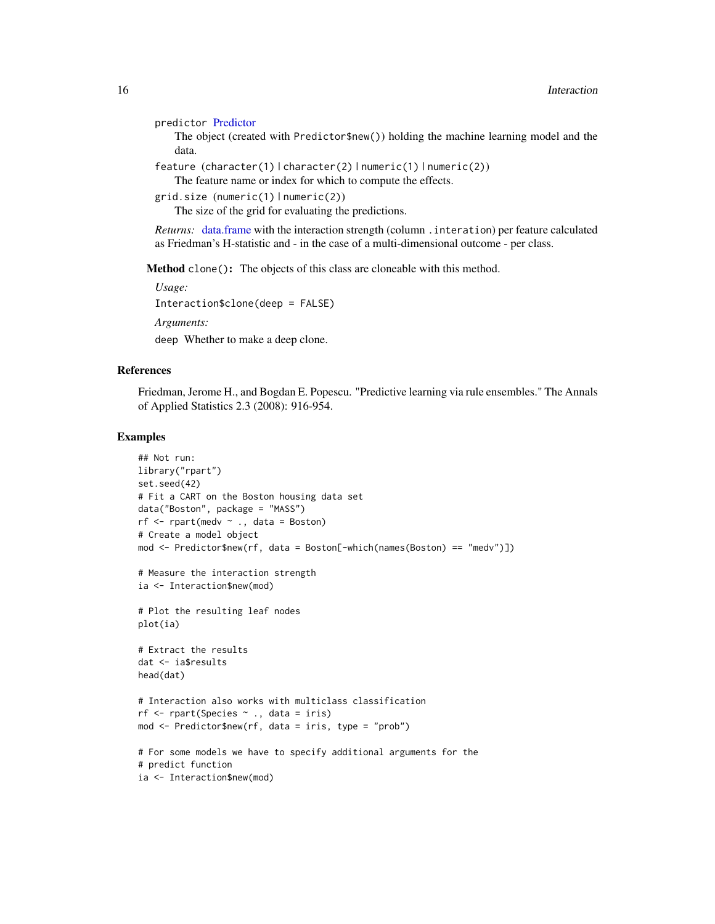```
predictor Predictor
```
The object (created with Predictor\$new()) holding the machine learning model and the data.

feature (character(1) | character(2) | numeric(1) | numeric(2))

The feature name or index for which to compute the effects.

```
grid.size (numeric(1) | numeric(2))
```
The size of the grid for evaluating the predictions.

*Returns:* [data.frame](#page-0-0) with the interaction strength (column .interation) per feature calculated as Friedman's H-statistic and - in the case of a multi-dimensional outcome - per class.

Method clone(): The objects of this class are cloneable with this method.

*Usage:* Interaction\$clone(deep = FALSE)

*Arguments:*

deep Whether to make a deep clone.

#### References

Friedman, Jerome H., and Bogdan E. Popescu. "Predictive learning via rule ensembles." The Annals of Applied Statistics 2.3 (2008): 916-954.

```
## Not run:
library("rpart")
set.seed(42)
# Fit a CART on the Boston housing data set
data("Boston", package = "MASS")
rf \leftarrow \text{rpart}(\text{medv } \sim ., \text{ data = Boston})# Create a model object
mod <- Predictor$new(rf, data = Boston[-which(names(Boston) == "medv")])
# Measure the interaction strength
ia <- Interaction$new(mod)
# Plot the resulting leaf nodes
plot(ia)
# Extract the results
dat <- ia$results
head(dat)
# Interaction also works with multiclass classification
rf \leq rpart(Species \sim ., data = iris)
mod <- Predictor$new(rf, data = iris, type = "prob")
# For some models we have to specify additional arguments for the
# predict function
ia <- Interaction$new(mod)
```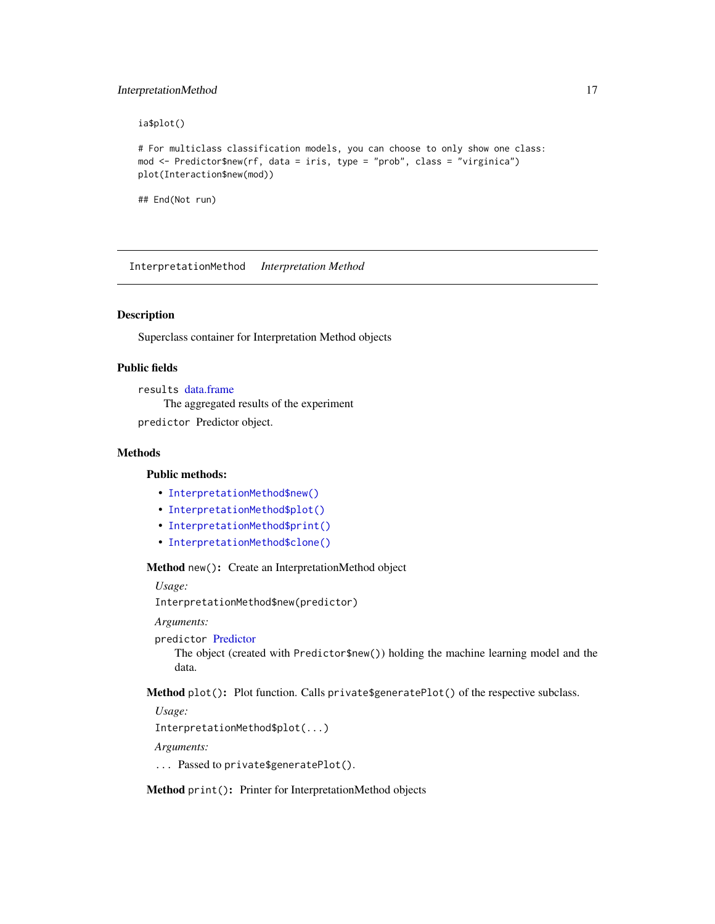# <span id="page-16-0"></span>InterpretationMethod 17

ia\$plot()

```
# For multiclass classification models, you can choose to only show one class:
mod <- Predictor$new(rf, data = iris, type = "prob", class = "virginica")
plot(Interaction$new(mod))
```
## End(Not run)

InterpretationMethod *Interpretation Method*

# Description

Superclass container for Interpretation Method objects

# Public fields

results [data.frame](#page-0-0)

The aggregated results of the experiment

predictor Predictor object.

# **Methods**

#### Public methods:

- [InterpretationMethod\\$new\(\)](#page-3-0)
- [InterpretationMethod\\$plot\(\)](#page-16-1)
- [InterpretationMethod\\$print\(\)](#page-16-2)
- [InterpretationMethod\\$clone\(\)](#page-5-0)

Method new(): Create an InterpretationMethod object

*Usage:*

InterpretationMethod\$new(predictor)

*Arguments:*

predictor [Predictor](#page-32-1)

The object (created with Predictor\$new()) holding the machine learning model and the data.

<span id="page-16-1"></span>Method plot(): Plot function. Calls private\$generatePlot() of the respective subclass.

*Usage:*

InterpretationMethod\$plot(...)

*Arguments:*

... Passed to private\$generatePlot().

<span id="page-16-2"></span>Method print(): Printer for InterpretationMethod objects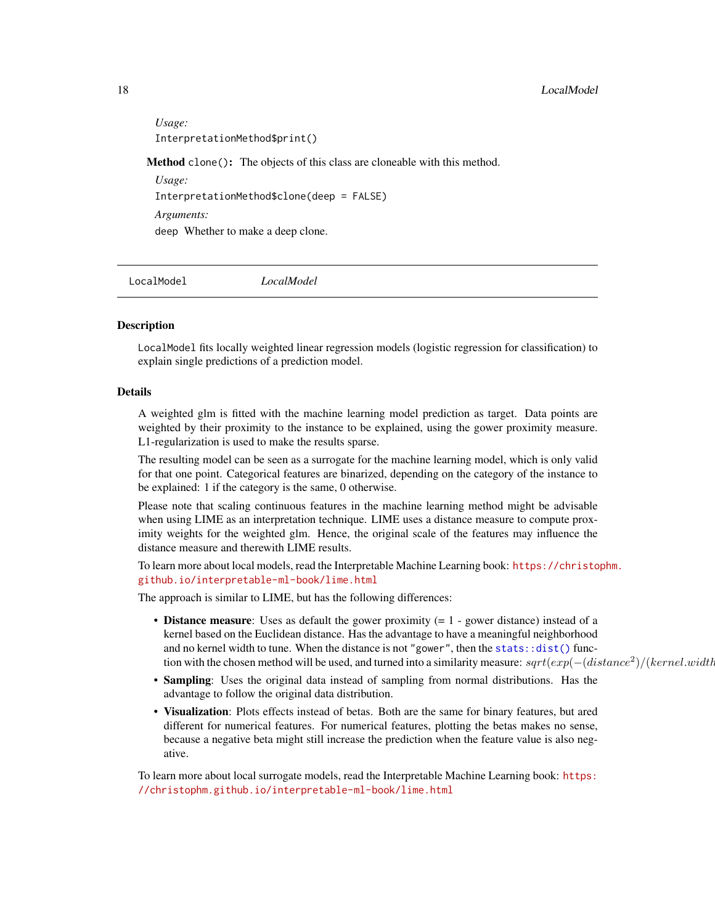<span id="page-17-0"></span>*Usage:* InterpretationMethod\$print() Method clone(): The objects of this class are cloneable with this method. *Usage:*

InterpretationMethod\$clone(deep = FALSE)

*Arguments:*

deep Whether to make a deep clone.

<span id="page-17-1"></span>LocalModel *LocalModel*

### Description

LocalModel fits locally weighted linear regression models (logistic regression for classification) to explain single predictions of a prediction model.

# Details

A weighted glm is fitted with the machine learning model prediction as target. Data points are weighted by their proximity to the instance to be explained, using the gower proximity measure. L1-regularization is used to make the results sparse.

The resulting model can be seen as a surrogate for the machine learning model, which is only valid for that one point. Categorical features are binarized, depending on the category of the instance to be explained: 1 if the category is the same, 0 otherwise.

Please note that scaling continuous features in the machine learning method might be advisable when using LIME as an interpretation technique. LIME uses a distance measure to compute proximity weights for the weighted glm. Hence, the original scale of the features may influence the distance measure and therewith LIME results.

To learn more about local models, read the Interpretable Machine Learning book: [https://christo](https://christophm.github.io/interpretable-ml-book/lime.html)phm. [github.io/interpretable-ml-book/lime.html](https://christophm.github.io/interpretable-ml-book/lime.html)

The approach is similar to LIME, but has the following differences:

- **Distance measure**: Uses as default the gower proximity  $(= 1 \text{gower distance})$  instead of a kernel based on the Euclidean distance. Has the advantage to have a meaningful neighborhood and no kernel width to tune. When the distance is not "gower", then the [stats::dist\(\)](#page-0-0) function with the chosen method will be used, and turned into a similarity measure:  $sqrt(exp(-(distance^2)/(kernel.width))$
- Sampling: Uses the original data instead of sampling from normal distributions. Has the advantage to follow the original data distribution.
- Visualization: Plots effects instead of betas. Both are the same for binary features, but ared different for numerical features. For numerical features, plotting the betas makes no sense, because a negative beta might still increase the prediction when the feature value is also negative.

To learn more about local surrogate models, read the Interpretable Machine Learning book: [https:](https://christophm.github.io/interpretable-ml-book/lime.html) [//christophm.github.io/interpretable-ml-book/lime.html](https://christophm.github.io/interpretable-ml-book/lime.html)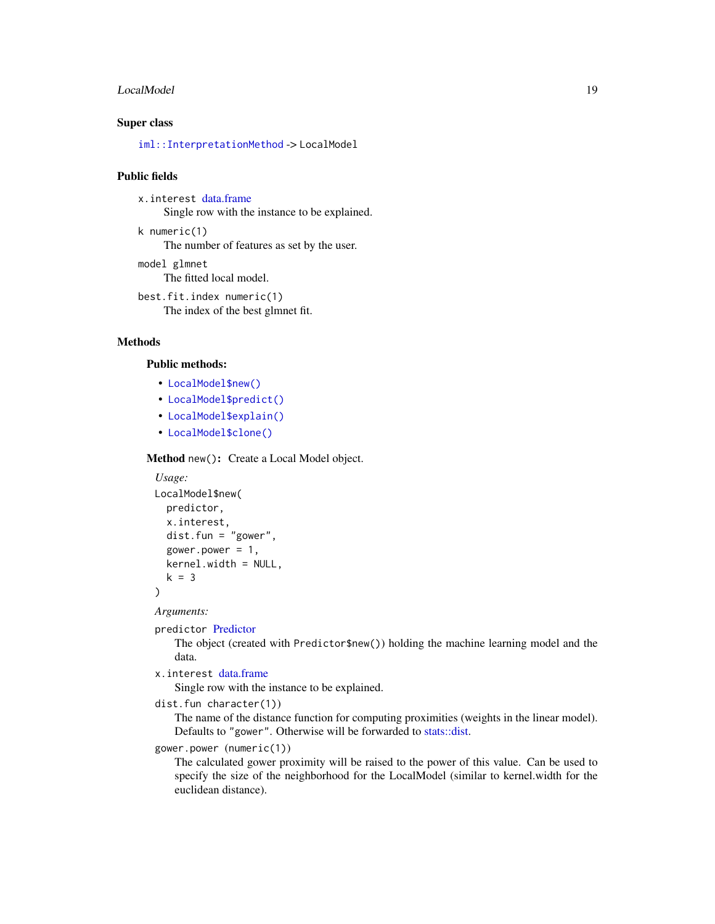#### <span id="page-18-0"></span>LocalModel 19

# Super class

[iml::InterpretationMethod](#page-0-0) -> LocalModel

# Public fields

x.interest [data.frame](#page-0-0) Single row with the instance to be explained.

- k numeric(1) The number of features as set by the user.
- model glmnet The fitted local model.

best.fit.index numeric(1) The index of the best glmnet fit.

# Methods

# Public methods:

- [LocalModel\\$new\(\)](#page-3-0)
- [LocalModel\\$predict\(\)](#page-4-2)
- [LocalModel\\$explain\(\)](#page-19-0)
- [LocalModel\\$clone\(\)](#page-5-0)

Method new(): Create a Local Model object.

```
Usage:
LocalModel$new(
  predictor,
  x.interest,
  dist.fun = "gower",
  gower.power = 1,
  kernel.width = NULL,
  k = 3)
```
*Arguments:*

```
predictor Predictor
```
The object (created with Predictor\$new()) holding the machine learning model and the data.

```
x.interest data.frame
```
Single row with the instance to be explained.

```
dist.fun character(1))
```
The name of the distance function for computing proximities (weights in the linear model). Defaults to "gower". Otherwise will be forwarded to [stats::dist.](#page-0-0)

```
gower.power (numeric(1))
```
The calculated gower proximity will be raised to the power of this value. Can be used to specify the size of the neighborhood for the LocalModel (similar to kernel.width for the euclidean distance).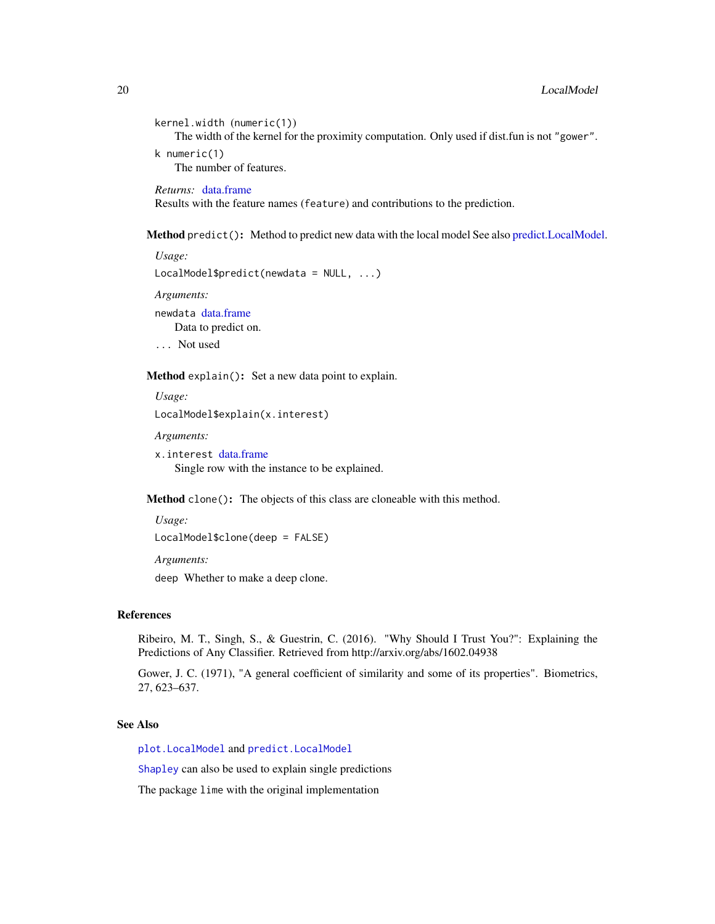```
kernel.width (numeric(1))
   The width of the kernel for the proximity computation. Only used if dist.fun is not "gower".
k numeric(1)
   The number of features.
```
*Returns:* [data.frame](#page-0-0) Results with the feature names (feature) and contributions to the prediction.

Method predict(): Method to predict new data with the local model See also [predict.LocalModel.](#page-30-1)

```
Usage:
LocalModel$predict(newdata = NULL, ...)
Arguments:
```
newdata [data.frame](#page-0-0) Data to predict on.

... Not used

<span id="page-19-0"></span>Method explain(): Set a new data point to explain.

```
Usage:
LocalModel$explain(x.interest)
```
*Arguments:*

```
x.interest data.frame
   Single row with the instance to be explained.
```
Method clone(): The objects of this class are cloneable with this method.

*Usage:* LocalModel\$clone(deep = FALSE)

*Arguments:*

deep Whether to make a deep clone.

# References

Ribeiro, M. T., Singh, S., & Guestrin, C. (2016). "Why Should I Trust You?": Explaining the Predictions of Any Classifier. Retrieved from http://arxiv.org/abs/1602.04938

Gower, J. C. (1971), "A general coefficient of similarity and some of its properties". Biometrics, 27, 623–637.

# See Also

[plot.LocalModel](#page-27-1) and [predict.LocalModel](#page-30-1)

[Shapley](#page-35-1) can also be used to explain single predictions

The package lime with the original implementation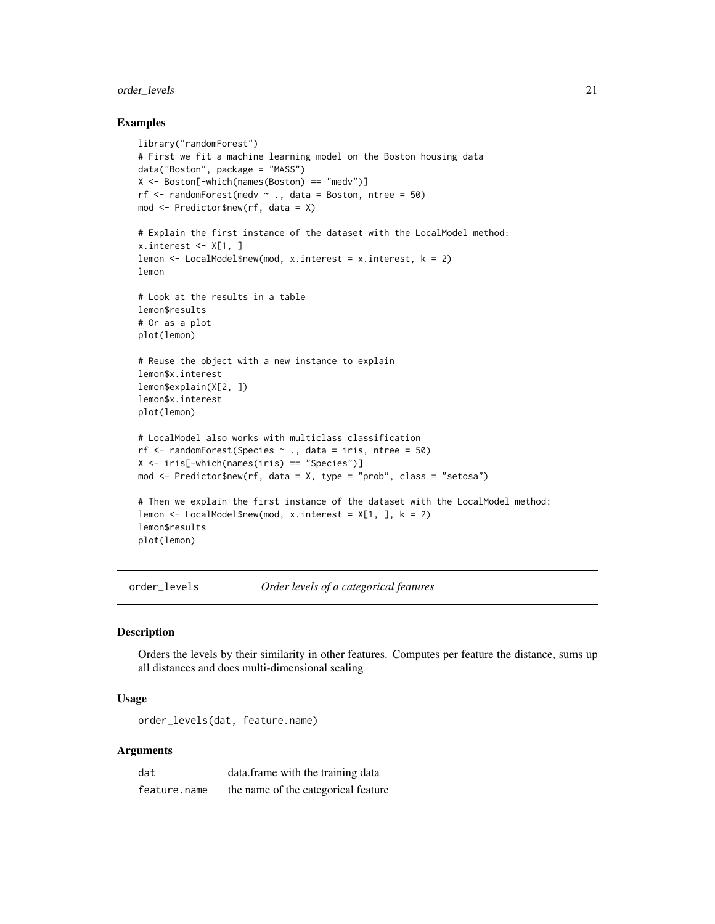# <span id="page-20-0"></span>order\_levels 21

#### Examples

```
library("randomForest")
# First we fit a machine learning model on the Boston housing data
data("Boston", package = "MASS")
X <- Boston[-which(names(Boston) == "medv")]
rf \le- randomForest(medv \sim ., data = Boston, ntree = 50)
mod <- Predictor$new(rf, data = X)
# Explain the first instance of the dataset with the LocalModel method:
x.interest \leftarrow X[1, ]lemon <- LocalModel$new(mod, x.interest = x.interest, k = 2)
lemon
# Look at the results in a table
lemon$results
# Or as a plot
plot(lemon)
# Reuse the object with a new instance to explain
lemon$x.interest
lemon$explain(X[2, ])
lemon$x.interest
plot(lemon)
# LocalModel also works with multiclass classification
rf \le randomForest(Species \sim ., data = iris, ntree = 50)
X <- iris[-which(names(iris) == "Species")]
mod <- Predictor$new(rf, data = X, type = "prob", class = "setosa")
# Then we explain the first instance of the dataset with the LocalModel method:
lemon \le LocalModel$new(mod, x.interest = X[1, ], k = 2)
lemon$results
plot(lemon)
```
order\_levels *Order levels of a categorical features*

#### Description

Orders the levels by their similarity in other features. Computes per feature the distance, sums up all distances and does multi-dimensional scaling

# Usage

order\_levels(dat, feature.name)

#### **Arguments**

| dat          | data. frame with the training data  |
|--------------|-------------------------------------|
| feature.name | the name of the categorical feature |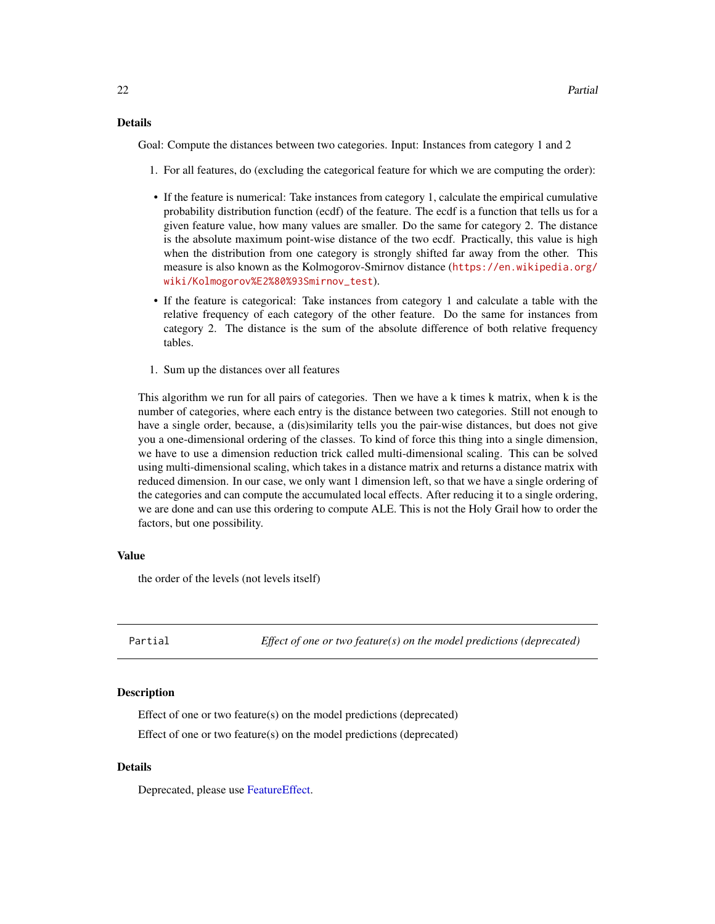# <span id="page-21-0"></span>Details

Goal: Compute the distances between two categories. Input: Instances from category 1 and 2

- 1. For all features, do (excluding the categorical feature for which we are computing the order):
- If the feature is numerical: Take instances from category 1, calculate the empirical cumulative probability distribution function (ecdf) of the feature. The ecdf is a function that tells us for a given feature value, how many values are smaller. Do the same for category 2. The distance is the absolute maximum point-wise distance of the two ecdf. Practically, this value is high when the distribution from one category is strongly shifted far away from the other. This measure is also known as the Kolmogorov-Smirnov distance ([https://en.wikipedia.org/](https://en.wikipedia.org/wiki/Kolmogorov%E2%80%93Smirnov_test) [wiki/Kolmogorov%E2%80%93Smirnov\\_test](https://en.wikipedia.org/wiki/Kolmogorov%E2%80%93Smirnov_test)).
- If the feature is categorical: Take instances from category 1 and calculate a table with the relative frequency of each category of the other feature. Do the same for instances from category 2. The distance is the sum of the absolute difference of both relative frequency tables.
- 1. Sum up the distances over all features

This algorithm we run for all pairs of categories. Then we have a k times k matrix, when k is the number of categories, where each entry is the distance between two categories. Still not enough to have a single order, because, a (dis)similarity tells you the pair-wise distances, but does not give you a one-dimensional ordering of the classes. To kind of force this thing into a single dimension, we have to use a dimension reduction trick called multi-dimensional scaling. This can be solved using multi-dimensional scaling, which takes in a distance matrix and returns a distance matrix with reduced dimension. In our case, we only want 1 dimension left, so that we have a single ordering of the categories and can compute the accumulated local effects. After reducing it to a single ordering, we are done and can use this ordering to compute ALE. This is not the Holy Grail how to order the factors, but one possibility.

#### Value

the order of the levels (not levels itself)

<span id="page-21-1"></span>Partial *Effect of one or two feature(s) on the model predictions (deprecated)*

#### Description

Effect of one or two feature(s) on the model predictions (deprecated) Effect of one or two feature(s) on the model predictions (deprecated)

#### Details

Deprecated, please use [FeatureEffect.](#page-2-1)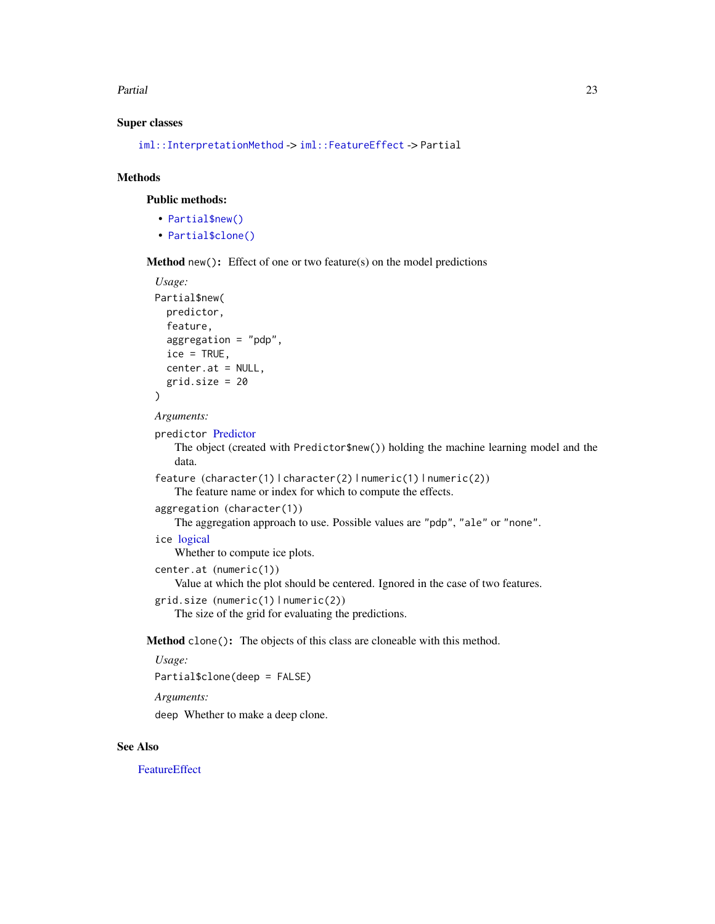#### <span id="page-22-0"></span>Partial 23

#### Super classes

```
iml::InterpretationMethod -> iml::FeatureEffect -> Partial
```
# Methods

# Public methods:

- [Partial\\$new\(\)](#page-3-0)
- [Partial\\$clone\(\)](#page-5-0)

Method new(): Effect of one or two feature(s) on the model predictions

```
Usage:
Partial$new(
 predictor,
 feature,
 aggregation = "pdp",
 ice = TRUE,center.at = NULL,
  grid.size = 20)
```
*Arguments:*

```
predictor Predictor
```
The object (created with Predictor\$new()) holding the machine learning model and the data.

```
feature (character(1) | character(2) | numeric(1) | numeric(2))
```
The feature name or index for which to compute the effects.

```
aggregation (character(1))
```
The aggregation approach to use. Possible values are "pdp", "ale" or "none".

# ice [logical](#page-0-0)

Whether to compute ice plots.

```
center.at (numeric(1))
```
Value at which the plot should be centered. Ignored in the case of two features.

```
grid.size (numeric(1) | numeric(2))
```
The size of the grid for evaluating the predictions.

Method clone(): The objects of this class are cloneable with this method.

# *Usage:*

Partial\$clone(deep = FALSE)

*Arguments:*

deep Whether to make a deep clone.

# See Also

**[FeatureEffect](#page-2-1)**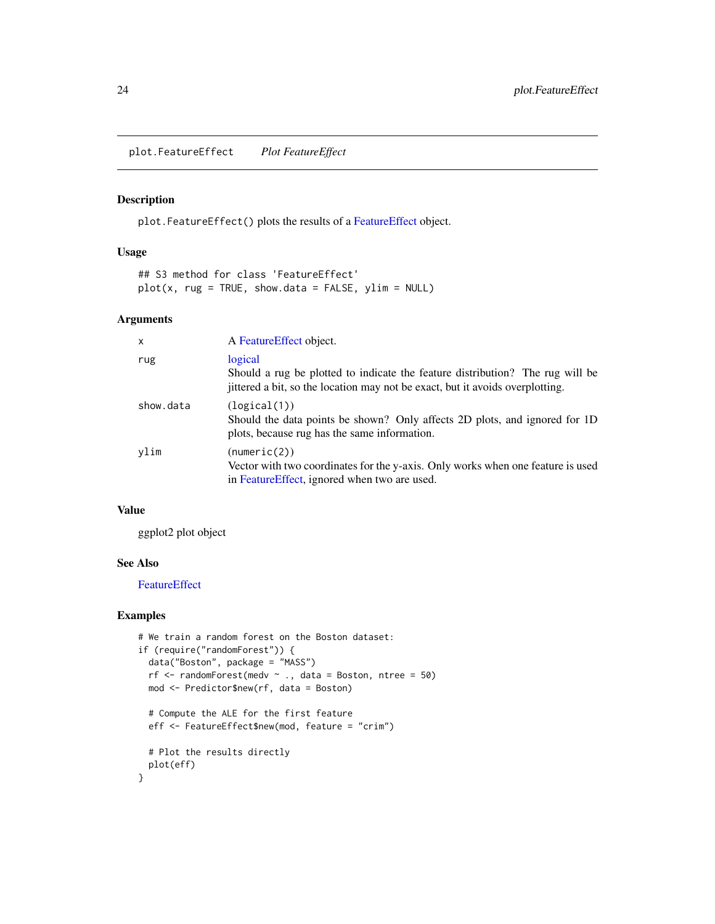<span id="page-23-1"></span><span id="page-23-0"></span>plot.FeatureEffect *Plot FeatureEffect*

# Description

plot.FeatureEffect() plots the results of a [FeatureEffect](#page-2-1) object.

#### Usage

```
## S3 method for class 'FeatureEffect'
plot(x, rug = TRUE, show.data = FALSE, ylim = NULL)
```
#### Arguments

| $\mathsf{x}$ | A Feature Effect object.                                                                                                                                                  |
|--------------|---------------------------------------------------------------------------------------------------------------------------------------------------------------------------|
| rug          | logical<br>Should a rug be plotted to indicate the feature distribution? The rug will be<br>jittered a bit, so the location may not be exact, but it avoids overplotting. |
| show.data    | (logical(1))<br>Should the data points be shown? Only affects 2D plots, and ignored for 1D<br>plots, because rug has the same information.                                |
| vlim         | (numeric(2))<br>Vector with two coordinates for the y-axis. Only works when one feature is used<br>in Feature Effect, ignored when two are used.                          |

#### Value

ggplot2 plot object

# See Also

**[FeatureEffect](#page-2-1)** 

```
# We train a random forest on the Boston dataset:
if (require("randomForest")) {
  data("Boston", package = "MASS")
  rf \le randomForest(medv \sim ., data = Boston, ntree = 50)
 mod <- Predictor$new(rf, data = Boston)
  # Compute the ALE for the first feature
  eff <- FeatureEffect$new(mod, feature = "crim")
  # Plot the results directly
  plot(eff)
}
```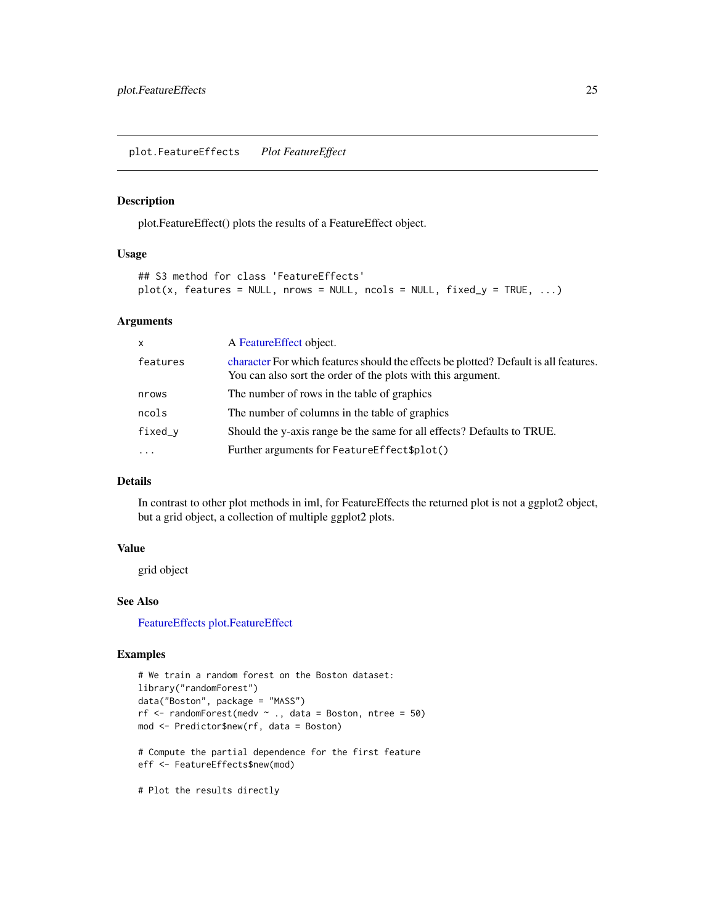<span id="page-24-1"></span><span id="page-24-0"></span>plot.FeatureEffects *Plot FeatureEffect*

# Description

plot.FeatureEffect() plots the results of a FeatureEffect object.

#### Usage

```
## S3 method for class 'FeatureEffects'
plot(x, features = NULL, rows = NULL, ncols = NULL, fixed_y = TRUE, ...)
```
# Arguments

| $\mathsf{x}$ | A Feature Effect object.                                                                                                                             |
|--------------|------------------------------------------------------------------------------------------------------------------------------------------------------|
| features     | character For which features should the effects be plotted? Default is all features.<br>You can also sort the order of the plots with this argument. |
| nrows        | The number of rows in the table of graphics                                                                                                          |
| ncols        | The number of columns in the table of graphics                                                                                                       |
| fixed_v      | Should the y-axis range be the same for all effects? Defaults to TRUE.                                                                               |
| $\ddotsc$    | Further arguments for Feature Effect \$plot()                                                                                                        |
|              |                                                                                                                                                      |

# Details

In contrast to other plot methods in iml, for FeatureEffects the returned plot is not a ggplot2 object, but a grid object, a collection of multiple ggplot2 plots.

#### Value

grid object

#### See Also

[FeatureEffects](#page-7-1) [plot.FeatureEffect](#page-23-1)

# Examples

```
# We train a random forest on the Boston dataset:
library("randomForest")
data("Boston", package = "MASS")
rf \le randomForest(medv \sim ., data = Boston, ntree = 50)
mod <- Predictor$new(rf, data = Boston)
# Compute the partial dependence for the first feature
eff <- FeatureEffects$new(mod)
```
# Plot the results directly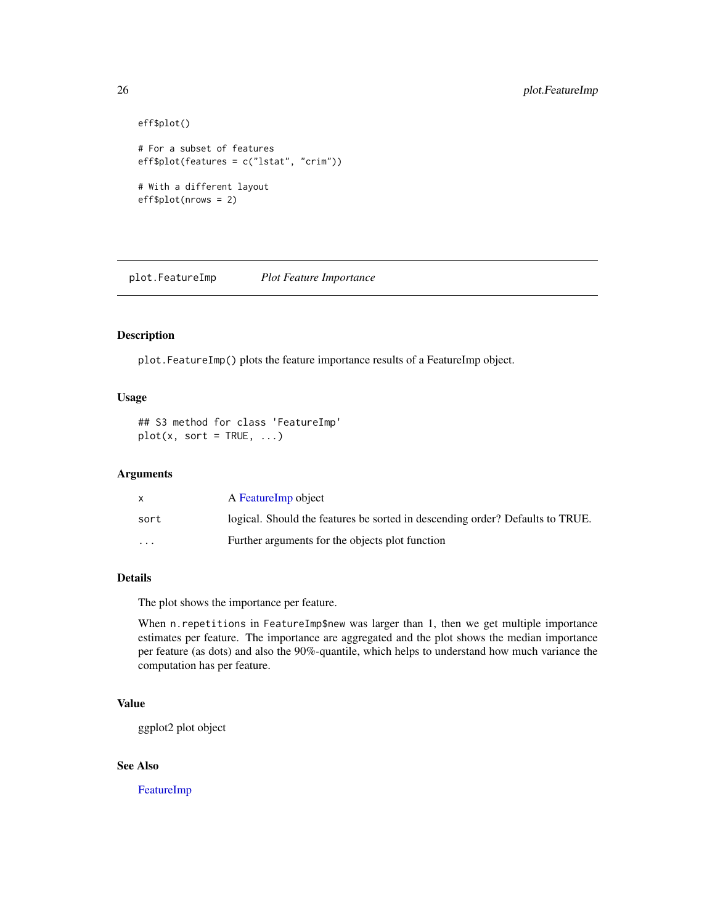```
eff$plot()
# For a subset of features
eff$plot(features = c("lstat", "crim"))
# With a different layout
eff$plot(nrows = 2)
```
plot.FeatureImp *Plot Feature Importance*

# Description

plot.FeatureImp() plots the feature importance results of a FeatureImp object.

# Usage

```
## S3 method for class 'FeatureImp'
plot(x, sort = TRUE, ...)
```
# Arguments

|                         | A Feature Imp object                                                          |
|-------------------------|-------------------------------------------------------------------------------|
| sort                    | logical. Should the features be sorted in descending order? Defaults to TRUE. |
| $\cdot$ $\cdot$ $\cdot$ | Further arguments for the objects plot function                               |

# Details

The plot shows the importance per feature.

When n. repetitions in FeatureImp\$new was larger than 1, then we get multiple importance estimates per feature. The importance are aggregated and the plot shows the median importance per feature (as dots) and also the 90%-quantile, which helps to understand how much variance the computation has per feature.

# Value

ggplot2 plot object

# See Also

[FeatureImp](#page-9-1)

<span id="page-25-0"></span>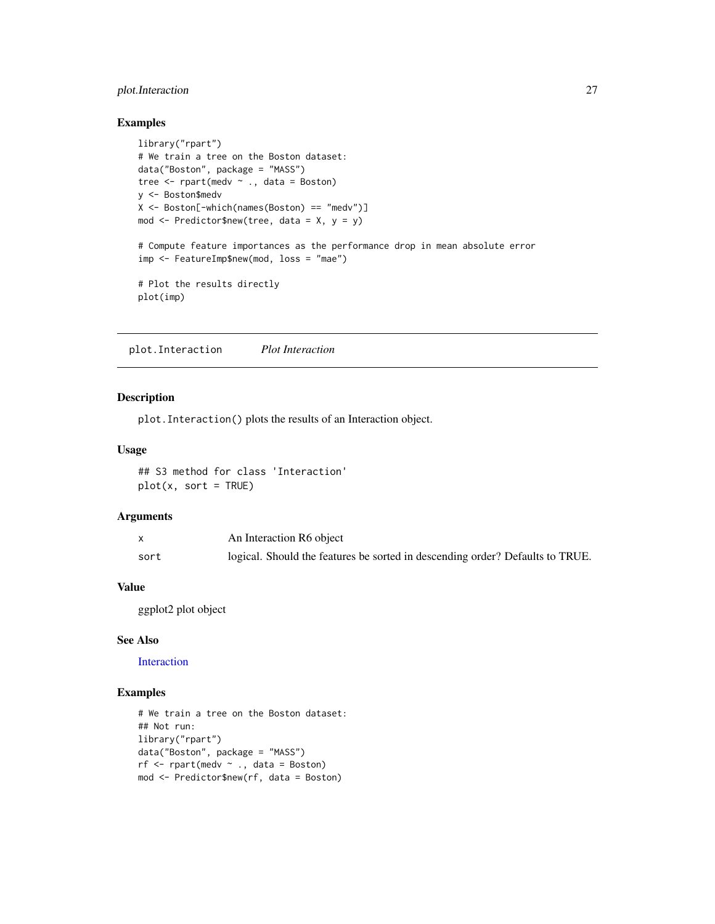# <span id="page-26-0"></span>plot.Interaction 27

# Examples

```
library("rpart")
# We train a tree on the Boston dataset:
data("Boston", package = "MASS")
tree \leq rpart(medv \sim ., data = Boston)
y <- Boston$medv
X <- Boston[-which(names(Boston) == "medv")]
mod <- Predictor$new(tree, data = X, y = y)
# Compute feature importances as the performance drop in mean absolute error
imp <- FeatureImp$new(mod, loss = "mae")
# Plot the results directly
plot(imp)
```
plot.Interaction *Plot Interaction*

# Description

plot.Interaction() plots the results of an Interaction object.

# Usage

```
## S3 method for class 'Interaction'
plot(x, sort = TRUE)
```
#### Arguments

|      | An Interaction R6 object                                                      |
|------|-------------------------------------------------------------------------------|
| sort | logical. Should the features be sorted in descending order? Defaults to TRUE. |

#### Value

ggplot2 plot object

#### See Also

[Interaction](#page-13-1)

```
# We train a tree on the Boston dataset:
## Not run:
library("rpart")
data("Boston", package = "MASS")
rf \leq rpart(medv \sim ., data = Boston)
mod <- Predictor$new(rf, data = Boston)
```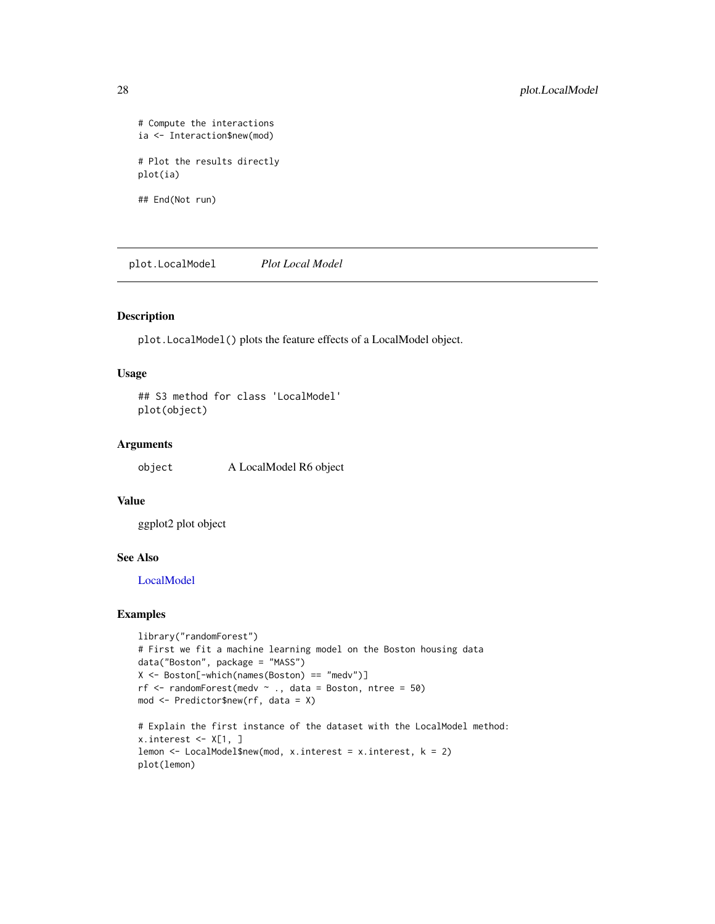```
# Compute the interactions
ia <- Interaction$new(mod)
# Plot the results directly
plot(ia)
## End(Not run)
```
<span id="page-27-1"></span>plot.LocalModel *Plot Local Model*

# Description

plot.LocalModel() plots the feature effects of a LocalModel object.

# Usage

```
## S3 method for class 'LocalModel'
plot(object)
```
# Arguments

object A LocalModel R6 object

# Value

ggplot2 plot object

#### See Also

[LocalModel](#page-17-1)

```
library("randomForest")
# First we fit a machine learning model on the Boston housing data
data("Boston", package = "MASS")
X <- Boston[-which(names(Boston) == "medv")]
rf \le randomForest(medv \sim ., data = Boston, ntree = 50)
mod <- Predictor$new(rf, data = X)
# Explain the first instance of the dataset with the LocalModel method:
```

```
x.interest \leftarrow X[1, ]lemon <- LocalModel$new(mod, x.interest = x.interest, k = 2)
plot(lemon)
```
<span id="page-27-0"></span>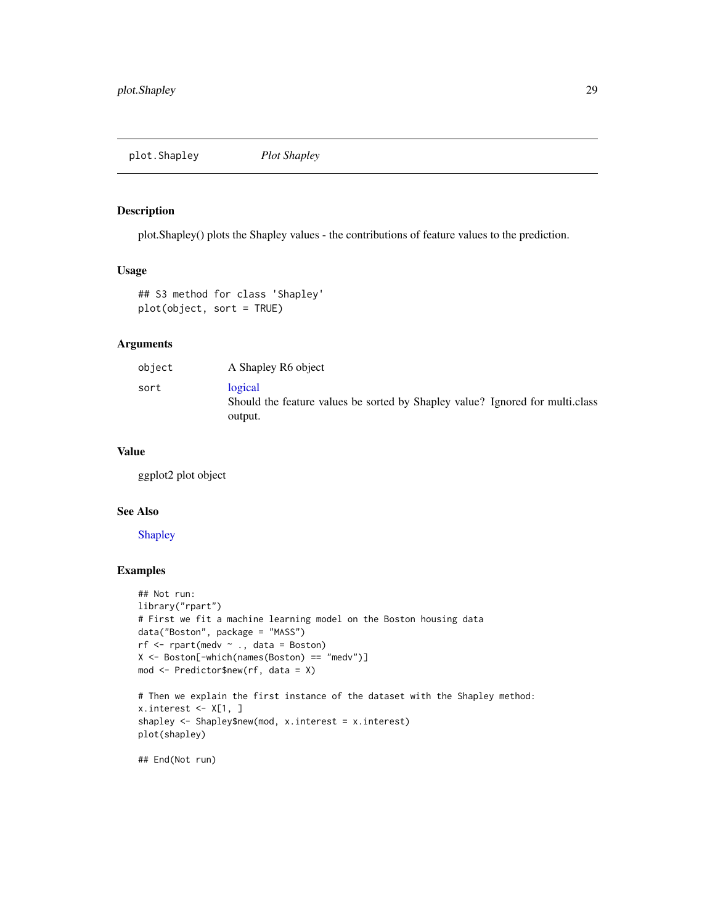<span id="page-28-0"></span>plot.Shapley *Plot Shapley*

# Description

plot.Shapley() plots the Shapley values - the contributions of feature values to the prediction.

#### Usage

```
## S3 method for class 'Shapley'
plot(object, sort = TRUE)
```
#### Arguments

| object | A Shapley R6 object                                                                                |
|--------|----------------------------------------------------------------------------------------------------|
| sort   | logical<br>Should the feature values be sorted by Shapley value? Ignored for multiclass<br>output. |

# Value

ggplot2 plot object

#### See Also

#### [Shapley](#page-35-1)

# Examples

```
## Not run:
library("rpart")
# First we fit a machine learning model on the Boston housing data
data("Boston", package = "MASS")
rf <- rpart(medv ~ ., data = Boston)
X <- Boston[-which(names(Boston) == "medv")]
mod <- Predictor$new(rf, data = X)
# Then we explain the first instance of the dataset with the Shapley method:
x.interest < -X[1, ]shapley <- Shapley$new(mod, x.interest = x.interest)
plot(shapley)
```
## End(Not run)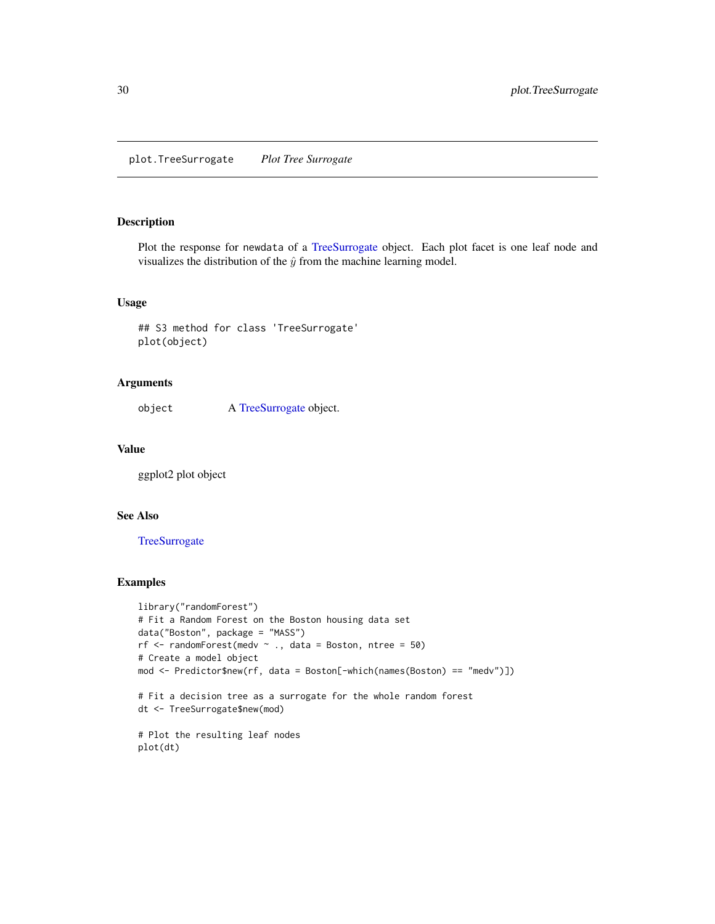<span id="page-29-1"></span><span id="page-29-0"></span>plot.TreeSurrogate *Plot Tree Surrogate*

#### Description

Plot the response for newdata of a [TreeSurrogate](#page-37-1) object. Each plot facet is one leaf node and visualizes the distribution of the  $\hat{y}$  from the machine learning model.

# Usage

```
## S3 method for class 'TreeSurrogate'
plot(object)
```
#### Arguments

object A [TreeSurrogate](#page-37-1) object.

# Value

ggplot2 plot object

# See Also

#### **[TreeSurrogate](#page-37-1)**

```
library("randomForest")
# Fit a Random Forest on the Boston housing data set
data("Boston", package = "MASS")
rf \le randomForest(medv \sim ., data = Boston, ntree = 50)
# Create a model object
mod <- Predictor$new(rf, data = Boston[-which(names(Boston) == "medv")])
# Fit a decision tree as a surrogate for the whole random forest
dt <- TreeSurrogate$new(mod)
# Plot the resulting leaf nodes
plot(dt)
```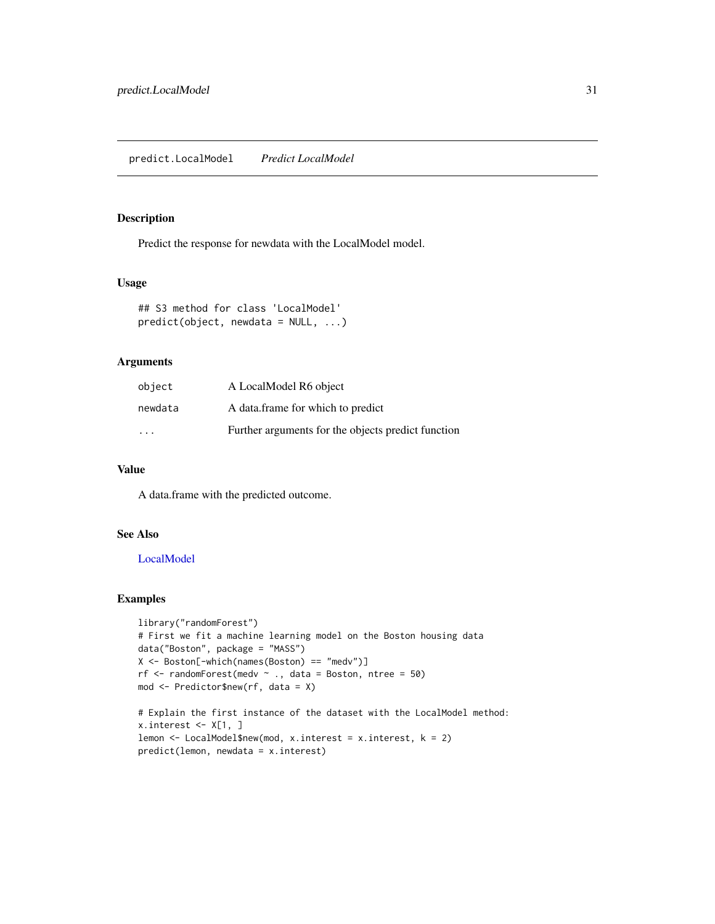# <span id="page-30-1"></span><span id="page-30-0"></span>Description

Predict the response for newdata with the LocalModel model.

# Usage

```
## S3 method for class 'LocalModel'
predict(object, newdata = NULL, ...)
```
# Arguments

| object                  | A LocalModel R6 object                             |
|-------------------------|----------------------------------------------------|
| newdata                 | A data frame for which to predict                  |
| $\cdot$ $\cdot$ $\cdot$ | Further arguments for the objects predict function |

# Value

A data.frame with the predicted outcome.

# See Also

# [LocalModel](#page-17-1)

```
library("randomForest")
# First we fit a machine learning model on the Boston housing data
data("Boston", package = "MASS")
X <- Boston[-which(names(Boston) == "medv")]
rf \le randomForest(medv \sim ., data = Boston, ntree = 50)
mod <- Predictor$new(rf, data = X)
```

```
# Explain the first instance of the dataset with the LocalModel method:
x.interest \leftarrow X[1, ]lemon <- LocalModel$new(mod, x.interest = x.interest, k = 2)
predict(lemon, newdata = x.interest)
```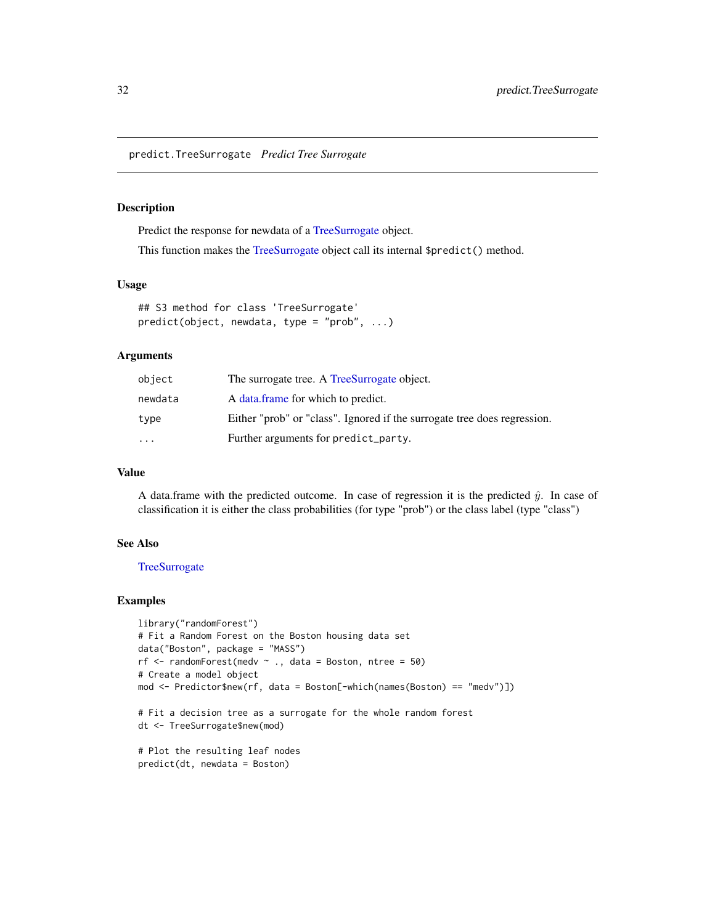<span id="page-31-1"></span><span id="page-31-0"></span>predict.TreeSurrogate *Predict Tree Surrogate*

#### Description

Predict the response for newdata of a [TreeSurrogate](#page-37-1) object.

This function makes the [TreeSurrogate](#page-37-1) object call its internal \$predict() method.

#### Usage

```
## S3 method for class 'TreeSurrogate'
predict(object, newdata, type = "prob", ...)
```
# Arguments

| object    | The surrogate tree. A TreeSurrogate object.                              |
|-----------|--------------------------------------------------------------------------|
| newdata   | A data frame for which to predict.                                       |
| type      | Either "prob" or "class". Ignored if the surrogate tree does regression. |
| $\ddotsc$ | Further arguments for predict_party.                                     |

# Value

A data.frame with the predicted outcome. In case of regression it is the predicted  $\hat{y}$ . In case of classification it is either the class probabilities (for type "prob") or the class label (type "class")

#### See Also

#### **[TreeSurrogate](#page-37-1)**

```
library("randomForest")
# Fit a Random Forest on the Boston housing data set
data("Boston", package = "MASS")
rf \le randomForest(medv \sim ., data = Boston, ntree = 50)
# Create a model object
mod <- Predictor$new(rf, data = Boston[-which(names(Boston) == "medv")])
# Fit a decision tree as a surrogate for the whole random forest
dt <- TreeSurrogate$new(mod)
# Plot the resulting leaf nodes
predict(dt, newdata = Boston)
```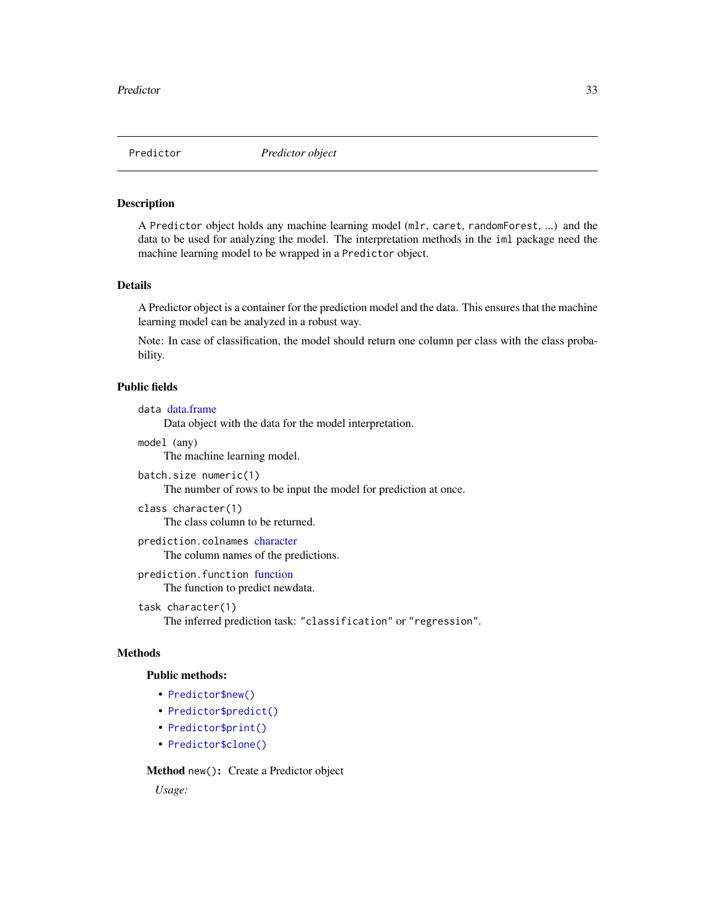<span id="page-32-1"></span><span id="page-32-0"></span>

#### Description

A Predictor object holds any machine learning model (mlr, caret, randomForest, ...) and the data to be used for analyzing the model. The interpretation methods in the iml package need the machine learning model to be wrapped in a Predictor object.

#### Details

A Predictor object is a container for the prediction model and the data. This ensures that the machine learning model can be analyzed in a robust way.

Note: In case of classification, the model should return one column per class with the class probability.

#### Public fields

```
data data.frame
```
Data object with the data for the model interpretation.

model (any)

The machine learning model.

```
batch.size numeric(1)
```
The number of rows to be input the model for prediction at once.

```
class character(1)
    The class column to be returned.
```

```
prediction.colnames character
    The column names of the predictions.
```
prediction.function [function](#page-0-0) The function to predict newdata.

```
task character(1)
```
The inferred prediction task: "classification" or "regression".

# Methods

# Public methods:

- [Predictor\\$new\(\)](#page-3-0)
- [Predictor\\$predict\(\)](#page-4-2)
- [Predictor\\$print\(\)](#page-16-2)
- [Predictor\\$clone\(\)](#page-5-0)

Method new(): Create a Predictor object

*Usage:*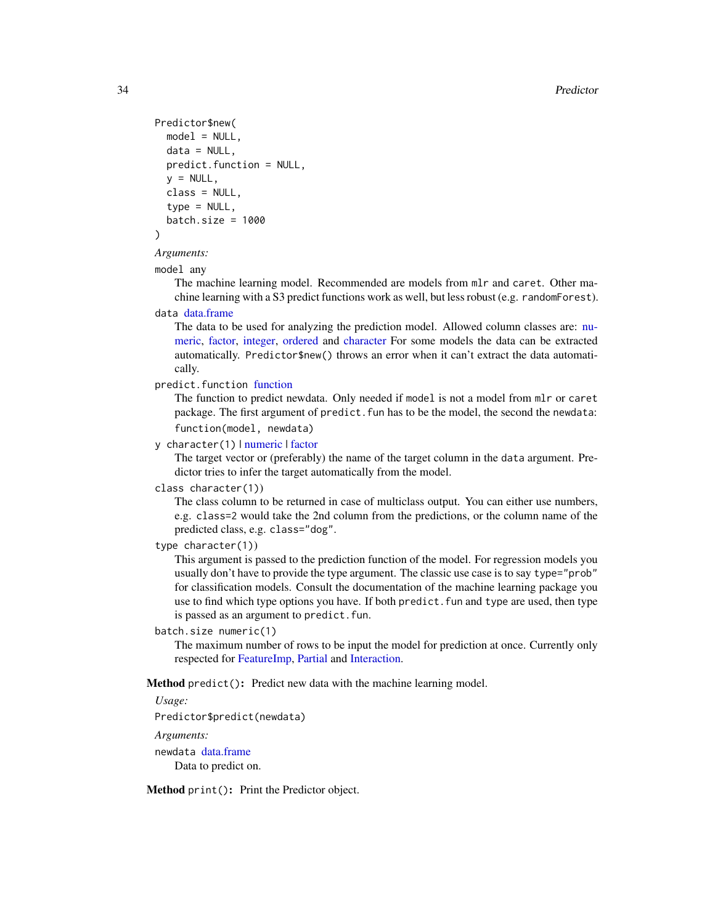```
Predictor$new(
 model = NULL,data = NULL,
 predict.function = NULL,
 y = NULL,class = NULL,
  type = NULL,batch.size = 1000)
```
# *Arguments:*

#### model any

The machine learning model. Recommended are models from mlr and caret. Other machine learning with a S3 predict functions work as well, but less robust (e.g. randomForest).

# data [data.frame](#page-0-0)

The data to be used for analyzing the prediction model. Allowed column classes are: [nu](#page-0-0)[meric,](#page-0-0) [factor,](#page-0-0) [integer,](#page-0-0) [ordered](#page-0-0) and [character](#page-0-0) For some models the data can be extracted automatically. Predictor\$new() throws an error when it can't extract the data automatically.

```
predict.function function
```
The function to predict newdata. Only needed if model is not a model from mlr or caret package. The first argument of predict. fun has to be the model, the second the newdata: function(model, newdata)

#### y character(1) | [numeric](#page-0-0) | [factor](#page-0-0)

The target vector or (preferably) the name of the target column in the data argument. Predictor tries to infer the target automatically from the model.

#### class character(1))

The class column to be returned in case of multiclass output. You can either use numbers, e.g. class=2 would take the 2nd column from the predictions, or the column name of the predicted class, e.g. class="dog".

#### type character(1))

This argument is passed to the prediction function of the model. For regression models you usually don't have to provide the type argument. The classic use case is to say type="prob" for classification models. Consult the documentation of the machine learning package you use to find which type options you have. If both predict. fun and type are used, then type is passed as an argument to predict.fun.

#### batch.size numeric(1)

The maximum number of rows to be input the model for prediction at once. Currently only respected for [FeatureImp,](#page-9-1) [Partial](#page-21-1) and [Interaction.](#page-13-1)

Method predict(): Predict new data with the machine learning model.

# *Usage:*

Predictor\$predict(newdata)

#### *Arguments:*

newdata [data.frame](#page-0-0) Data to predict on.

Method print(): Print the Predictor object.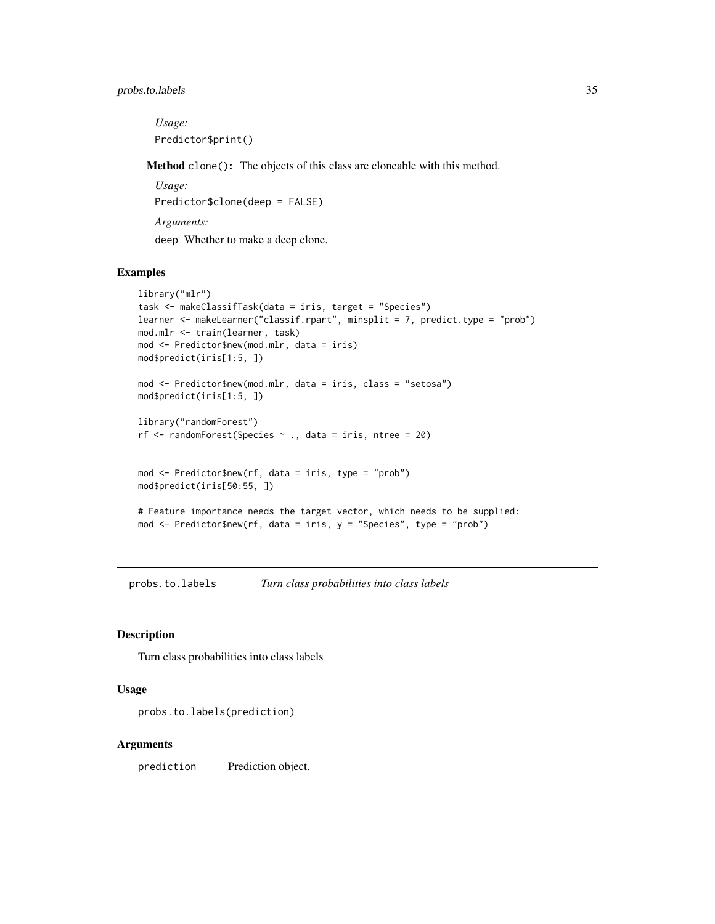# <span id="page-34-0"></span>probs.to.labels 35

*Usage:* Predictor\$print()

Method clone(): The objects of this class are cloneable with this method.

*Usage:* Predictor\$clone(deep = FALSE) *Arguments:* deep Whether to make a deep clone.

#### Examples

```
library("mlr")
task <- makeClassifTask(data = iris, target = "Species")
learner <- makeLearner("classif.rpart", minsplit = 7, predict.type = "prob")
mod.mlr <- train(learner, task)
mod <- Predictor$new(mod.mlr, data = iris)
mod$predict(iris[1:5, ])
mod <- Predictor$new(mod.mlr, data = iris, class = "setosa")
mod$predict(iris[1:5, ])
library("randomForest")
rf <- randomForest(Species ~ ., data = iris, ntree = 20)
mod <- Predictor$new(rf, data = iris, type = "prob")
mod$predict(iris[50:55, ])
# Feature importance needs the target vector, which needs to be supplied:
mod <- Predictor$new(rf, data = iris, y = "Species", type = "prob")
```
probs.to.labels *Turn class probabilities into class labels*

# Description

Turn class probabilities into class labels

#### Usage

```
probs.to.labels(prediction)
```
#### Arguments

prediction Prediction object.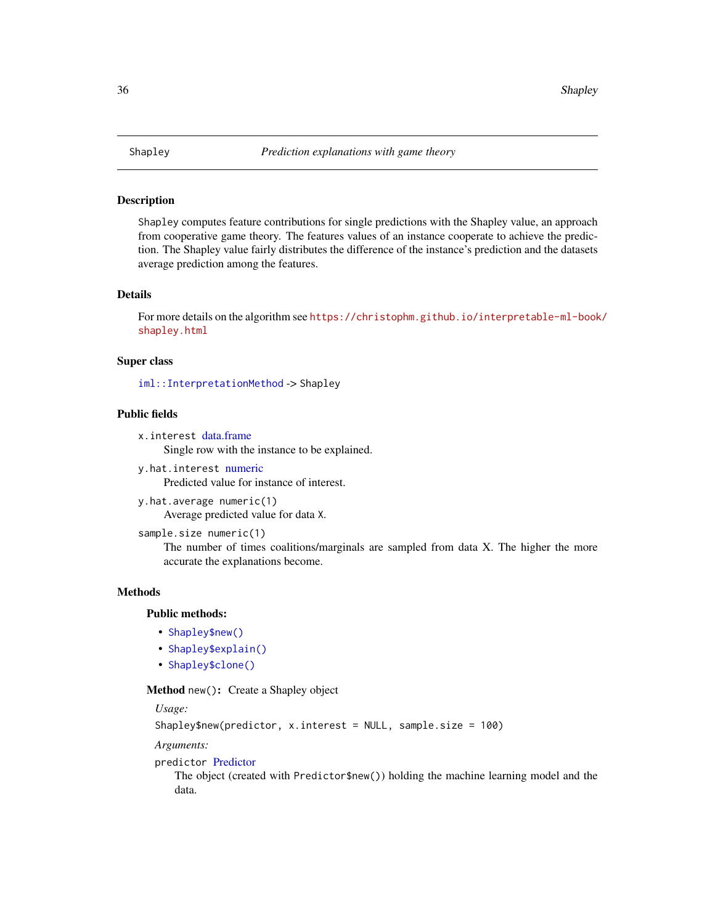<span id="page-35-1"></span><span id="page-35-0"></span>

#### **Description**

Shapley computes feature contributions for single predictions with the Shapley value, an approach from cooperative game theory. The features values of an instance cooperate to achieve the prediction. The Shapley value fairly distributes the difference of the instance's prediction and the datasets average prediction among the features.

# Details

For more details on the algorithm see [https://christophm.github.io/interpretable-ml-book](https://christophm.github.io/interpretable-ml-book/shapley.html)/ [shapley.html](https://christophm.github.io/interpretable-ml-book/shapley.html)

#### Super class

[iml::InterpretationMethod](#page-0-0) -> Shapley

# Public fields

```
x.interest data.frame
     Single row with the instance to be explained.
```
- y.hat.interest [numeric](#page-0-0) Predicted value for instance of interest.
- y.hat.average numeric(1) Average predicted value for data X.
- sample.size numeric(1)

The number of times coalitions/marginals are sampled from data X. The higher the more accurate the explanations become.

# Methods

# Public methods:

- [Shapley\\$new\(\)](#page-3-0)
- [Shapley\\$explain\(\)](#page-19-0)
- [Shapley\\$clone\(\)](#page-5-0)

#### Method new(): Create a Shapley object

*Usage:*

Shapley\$new(predictor, x.interest = NULL, sample.size = 100)

*Arguments:*

#### predictor [Predictor](#page-32-1)

The object (created with Predictor\$new()) holding the machine learning model and the data.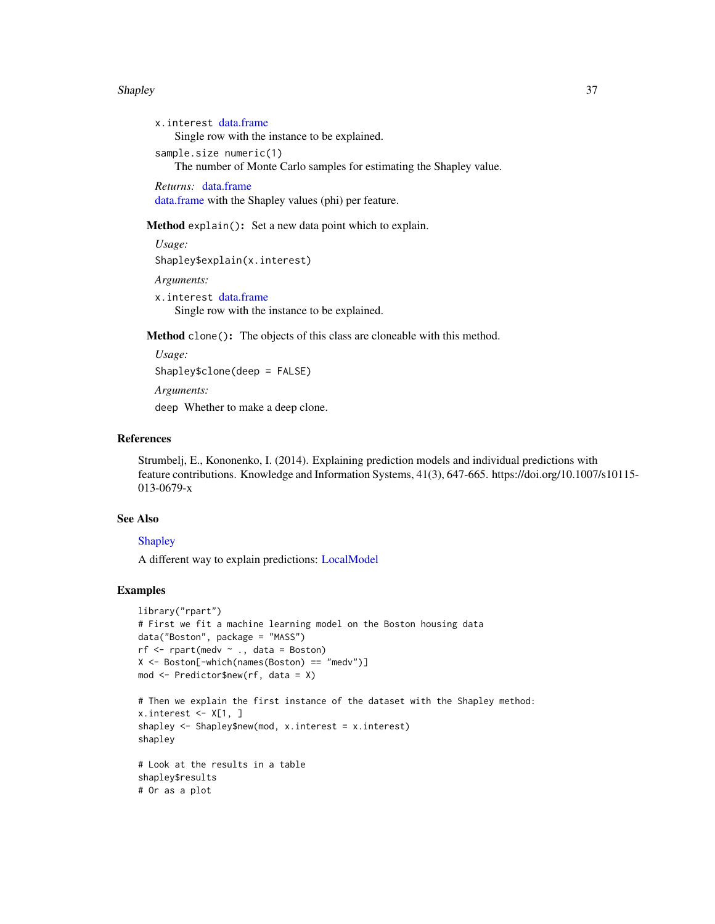#### <span id="page-36-0"></span>Shapley 37

```
x.interest data.frame
   Single row with the instance to be explained.
sample.size numeric(1)
   The number of Monte Carlo samples for estimating the Shapley value.
Returns: data.frame
data.frame with the Shapley values (phi) per feature.
```
Method explain(): Set a new data point which to explain.

```
Usage:
Shapley$explain(x.interest)
Arguments:
x.interest data.frame
   Single row with the instance to be explained.
```
Method clone(): The objects of this class are cloneable with this method.

```
Usage:
Shapley$clone(deep = FALSE)
```
*Arguments:*

deep Whether to make a deep clone.

#### References

Strumbelj, E., Kononenko, I. (2014). Explaining prediction models and individual predictions with feature contributions. Knowledge and Information Systems, 41(3), 647-665. https://doi.org/10.1007/s10115- 013-0679-x

# See Also

# **[Shapley](#page-35-1)**

A different way to explain predictions: [LocalModel](#page-17-1)

```
library("rpart")
# First we fit a machine learning model on the Boston housing data
data("Boston", package = "MASS")
rf \leq rpart(medv \sim ., data = Boston)
X <- Boston[-which(names(Boston) == "medv")]
mod <- Predictor$new(rf, data = X)
# Then we explain the first instance of the dataset with the Shapley method:
x.interest <- X[1, ]
shapley <- Shapley$new(mod, x.interest = x.interest)
shapley
# Look at the results in a table
shapley$results
# Or as a plot
```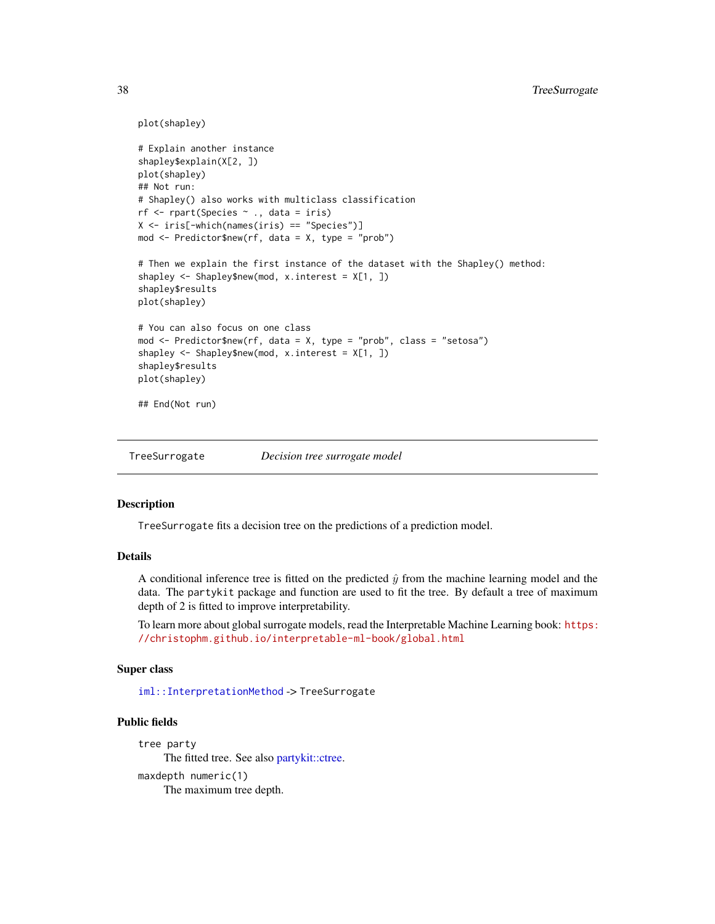```
plot(shapley)
# Explain another instance
shapley$explain(X[2, ])
plot(shapley)
## Not run:
# Shapley() also works with multiclass classification
rf <- rpart(Species ~ ., data = iris)
X <- iris[-which(names(iris) == "Species")]
mod <- Predictor$new(rf, data = X, type = "prob")
# Then we explain the first instance of the dataset with the Shapley() method:
shapley <- Shapley$new(mod, x.interest = X[1, ])
shapley$results
plot(shapley)
# You can also focus on one class
mod <- Predictor$new(rf, data = X, type = "prob", class = "setosa")
shapley <- Shapley$new(mod, x.interest = X[1, ])
shapley$results
plot(shapley)
## End(Not run)
```
<span id="page-37-1"></span>TreeSurrogate *Decision tree surrogate model*

#### Description

TreeSurrogate fits a decision tree on the predictions of a prediction model.

#### Details

A conditional inference tree is fitted on the predicted  $\hat{y}$  from the machine learning model and the data. The partykit package and function are used to fit the tree. By default a tree of maximum depth of 2 is fitted to improve interpretability.

To learn more about global surrogate models, read the Interpretable Machine Learning book: [https:](https://christophm.github.io/interpretable-ml-book/global.html) [//christophm.github.io/interpretable-ml-book/global.html](https://christophm.github.io/interpretable-ml-book/global.html)

#### Super class

[iml::InterpretationMethod](#page-0-0) -> TreeSurrogate

# Public fields

```
tree party
    The fitted tree. See also partykit::ctree.
maxdepth numeric(1)
     The maximum tree depth.
```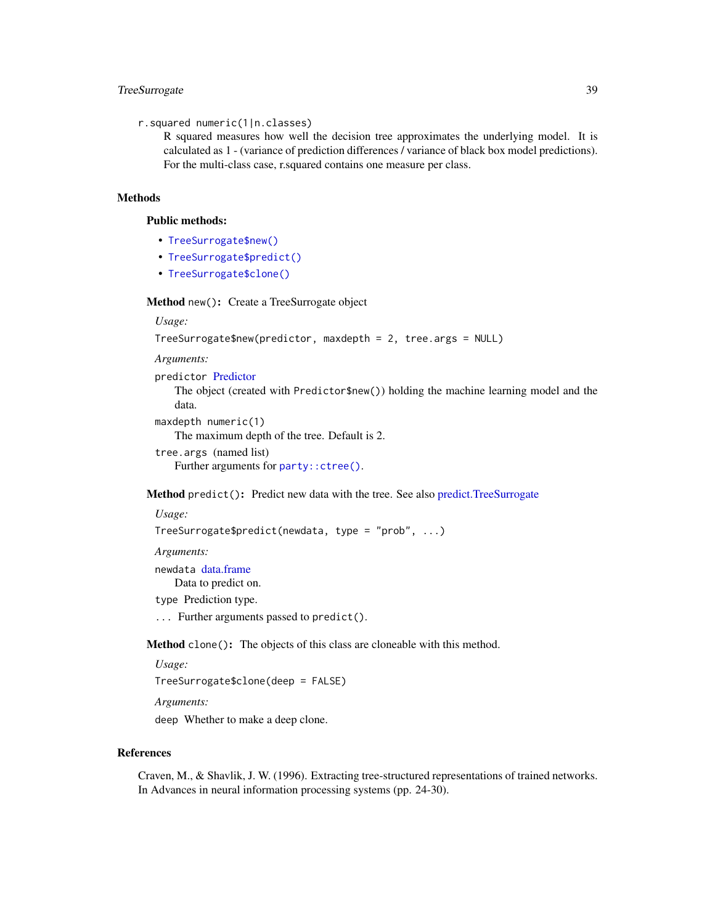# <span id="page-38-0"></span>TreeSurrogate 39

```
r.squared numeric(1|n.classes)
```
R squared measures how well the decision tree approximates the underlying model. It is calculated as 1 - (variance of prediction differences / variance of black box model predictions). For the multi-class case, r.squared contains one measure per class.

# Methods

#### Public methods:

- [TreeSurrogate\\$new\(\)](#page-3-0)
- [TreeSurrogate\\$predict\(\)](#page-4-2)
- [TreeSurrogate\\$clone\(\)](#page-5-0)

#### Method new(): Create a TreeSurrogate object

*Usage:*

```
TreeSurrogate$new(predictor, maxdepth = 2, tree.args = NULL)
```
*Arguments:*

predictor [Predictor](#page-32-1)

The object (created with Predictor\$new()) holding the machine learning model and the data.

maxdepth numeric(1)

The maximum depth of the tree. Default is 2.

tree.args (named list) Further arguments for [party::ctree\(\)](#page-0-0).

# Method predict(): Predict new data with the tree. See also [predict.TreeSurrogate](#page-31-1)

#### *Usage:*

```
TreeSurrogate$predict(newdata, type = "prob", ...)
```
*Arguments:*

newdata [data.frame](#page-0-0)

Data to predict on.

type Prediction type.

... Further arguments passed to predict().

Method clone(): The objects of this class are cloneable with this method.

*Usage:*

TreeSurrogate\$clone(deep = FALSE)

*Arguments:*

deep Whether to make a deep clone.

# References

Craven, M., & Shavlik, J. W. (1996). Extracting tree-structured representations of trained networks. In Advances in neural information processing systems (pp. 24-30).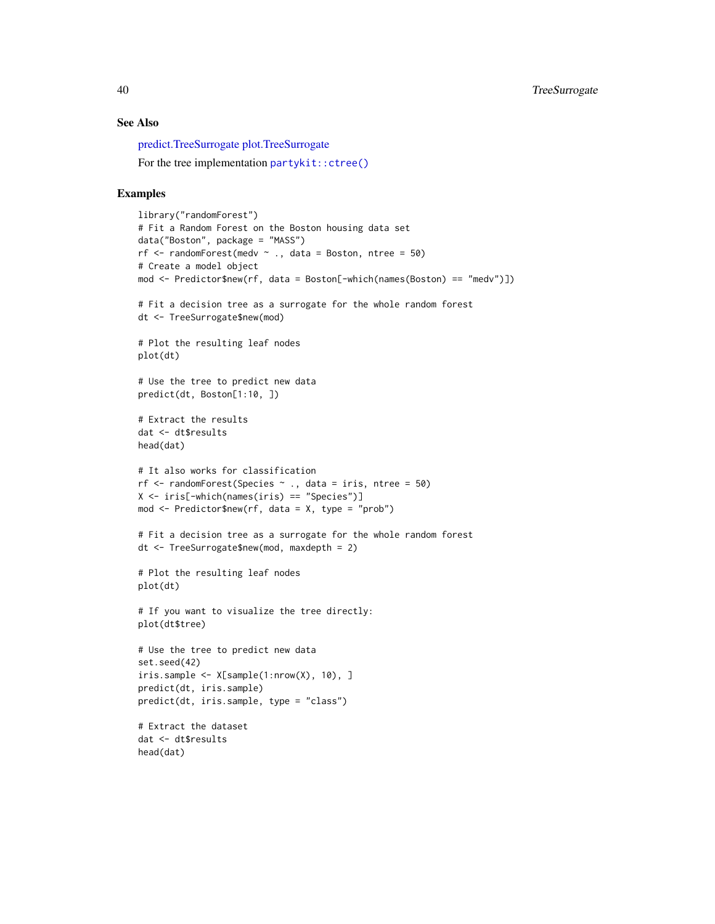# See Also

[predict.TreeSurrogate](#page-31-1) [plot.TreeSurrogate](#page-29-1)

For the tree implementation [partykit::ctree\(\)](#page-0-0)

#### Examples

head(dat)

```
library("randomForest")
# Fit a Random Forest on the Boston housing data set
data("Boston", package = "MASS")
rf \le randomForest(medv \sim ., data = Boston, ntree = 50)
# Create a model object
mod <- Predictor$new(rf, data = Boston[-which(names(Boston) == "medv")])
# Fit a decision tree as a surrogate for the whole random forest
dt <- TreeSurrogate$new(mod)
# Plot the resulting leaf nodes
plot(dt)
# Use the tree to predict new data
predict(dt, Boston[1:10, ])
# Extract the results
dat <- dt$results
head(dat)
# It also works for classification
rf \le- randomForest(Species \sim ., data = iris, ntree = 50)
X <- iris[-which(names(iris) == "Species")]
mod <- Predictor$new(rf, data = X, type = "prob")
# Fit a decision tree as a surrogate for the whole random forest
dt <- TreeSurrogate$new(mod, maxdepth = 2)
# Plot the resulting leaf nodes
plot(dt)
# If you want to visualize the tree directly:
plot(dt$tree)
# Use the tree to predict new data
set.seed(42)
iris.sample <- X[sample(1:nrow(X), 10), ]
predict(dt, iris.sample)
predict(dt, iris.sample, type = "class")
# Extract the dataset
dat <- dt$results
```
<span id="page-39-0"></span>